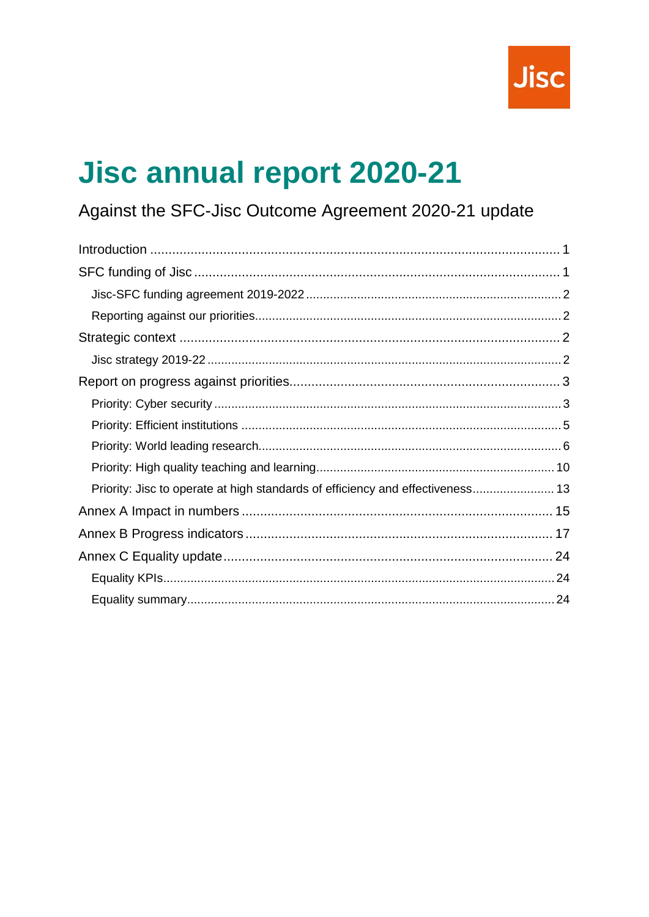

# **Jisc annual report 2020-21**

# Against the SFC-Jisc Outcome Agreement 2020-21 update

<span id="page-0-0"></span>

| Priority: Jisc to operate at high standards of efficiency and effectiveness 13 |  |
|--------------------------------------------------------------------------------|--|
|                                                                                |  |
|                                                                                |  |
|                                                                                |  |
|                                                                                |  |
|                                                                                |  |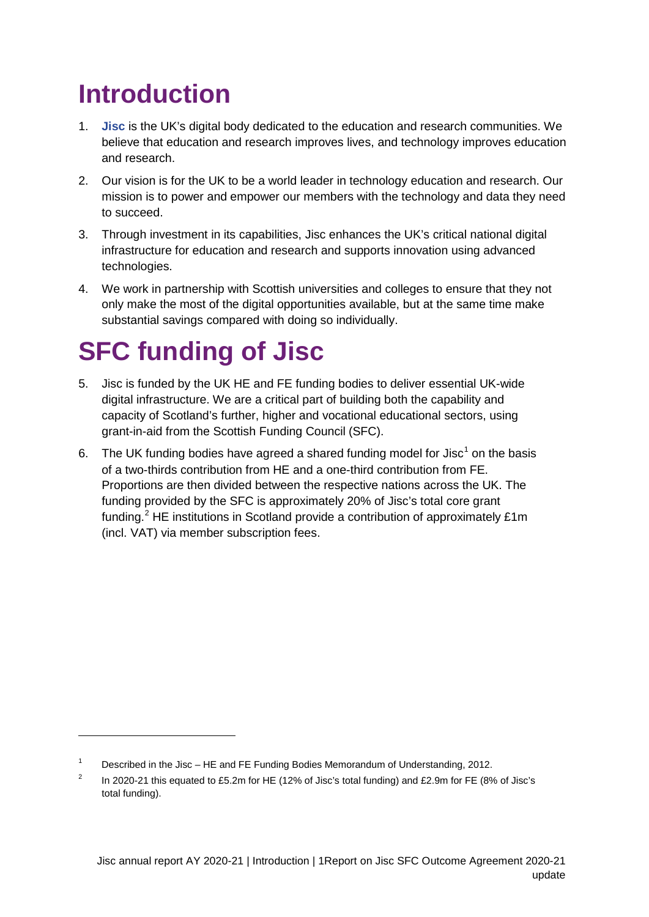# <span id="page-1-0"></span>**Introduction**

- 1. **[Jisc](http://www.jisc.ac.uk/)** is the UK's digital body dedicated to the education and research communities. We believe that education and research improves lives, and technology improves education and research.
- 2. Our vision is for the UK to be a world leader in technology education and research. Our mission is to power and empower our members with the technology and data they need to succeed.
- 3. Through investment in its capabilities, Jisc enhances the UK's critical national digital infrastructure for education and research and supports innovation using advanced technologies.
- 4. We work in partnership with Scottish universities and colleges to ensure that they not only make the most of the digital opportunities available, but at the same time make substantial savings compared with doing so individually.

# <span id="page-1-1"></span>**SFC funding of Jisc**

-

- 5. Jisc is funded by the UK HE and FE funding bodies to deliver essential UK-wide digital infrastructure. We are a critical part of building both the capability and capacity of Scotland's further, higher and vocational educational sectors, using grant-in-aid from the Scottish Funding Council (SFC).
- 6. The UK funding bodies have agreed a shared funding model for Jisc<sup>[1](#page-0-0)</sup> on the basis of a two-thirds contribution from HE and a one-third contribution from FE. Proportions are then divided between the respective nations across the UK. The funding provided by the SFC is approximately 20% of Jisc's total core grant funding.<sup>[2](#page-1-2)</sup> HE institutions in Scotland provide a contribution of approximately £1m (incl. VAT) via member subscription fees.

<sup>&</sup>lt;sup>1</sup> Described in the Jisc – HE and FE Funding Bodies Memorandum of Understanding, 2012.

<span id="page-1-3"></span><span id="page-1-2"></span><sup>&</sup>lt;sup>2</sup> In 2020-21 this equated to £5.2m for HE (12% of Jisc's total funding) and £2.9m for FE (8% of Jisc's total funding).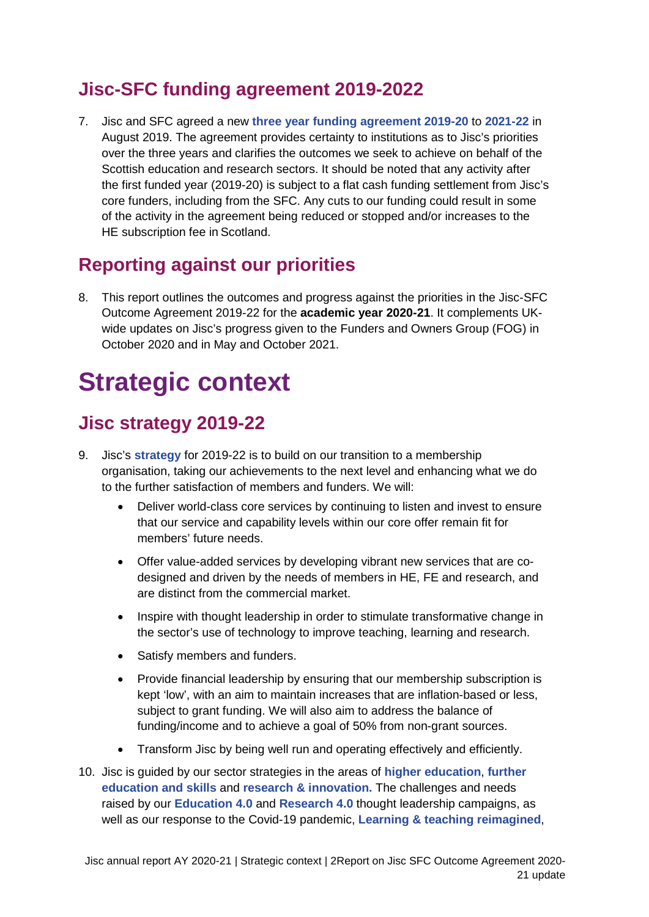## <span id="page-2-0"></span>**Jisc-SFC funding agreement 2019-2022**

7. Jisc and SFC agreed a new **[three year funding agreement 2019-20](http://www.sfc.ac.uk/web/FILES/ResearchInnovation/Jisc_outcome_agreement_2019-20.pdf)** to **2021-22** in August 2019. The agreement provides certainty to institutions as to Jisc's priorities over the three years and clarifies the outcomes we seek to achieve on behalf of the Scottish education and research sectors. It should be noted that any activity after the first funded year (2019-20) is subject to a flat cash funding settlement from Jisc's core funders, including from the SFC. Any cuts to our funding could result in some of the activity in the agreement being reduced or stopped and/or increases to the HE subscription fee in Scotland.

## <span id="page-2-1"></span>**Reporting against our priorities**

8. This report outlines the outcomes and progress against the priorities in the Jisc-SFC Outcome Agreement 2019-22 for the **academic year 2020-21**. It complements UKwide updates on Jisc's progress given to the Funders and Owners Group (FOG) in October 2020 and in May and October 2021.

# <span id="page-2-2"></span>**Strategic context**

## <span id="page-2-3"></span>**Jisc strategy 2019-22**

- 9. Jisc's **[strategy](https://www.jisc.ac.uk/reports/strategy-2019-2022)** for 2019-22 is to build on our transition to a membership organisation, taking our achievements to the next level and enhancing what we do to the further satisfaction of members and funders. We will:
	- Deliver world-class core services by continuing to listen and invest to ensure that our service and capability levels within our core offer remain fit for members' future needs.
	- Offer value-added services by developing vibrant new services that are codesigned and driven by the needs of members in HE, FE and research, and are distinct from the commercial market.
	- Inspire with thought leadership in order to stimulate transformative change in the sector's use of technology to improve teaching, learning and research.
	- Satisfy members and funders.
	- Provide financial leadership by ensuring that our membership subscription is kept 'low', with an aim to maintain increases that are inflation-based or less, subject to grant funding. We will also aim to address the balance of funding/income and to achieve a goal of 50% from non-grant sources.
	- Transform Jisc by being well run and operating effectively and efficiently.
- 10. Jisc is guided by our sector strategies in the areas of **[higher education](https://www.jisc.ac.uk/reports/higher-education-strategy-2021-2024)**, **[further](https://www.jisc.ac.uk/reports/jisc-further-education-and-skills-strategy-2020-2023)  [education and skills](https://www.jisc.ac.uk/reports/jisc-further-education-and-skills-strategy-2020-2023)** and **[research & innovation.](https://www.jisc.ac.uk/reports/research-and-innovation-sector-strategy-2021-2023)** The challenges and needs raised by our **[Education 4.0](https://www.jisc.ac.uk/education-4-0)** and **[Research 4.0](https://www.jisc.ac.uk/reports/research-4-0-research-in-the-age-of-automation)** thought leadership campaigns, as well as our response to the Covid-19 pandemic, **[Learning & teaching reimagined](https://www.jisc.ac.uk/reports/learning-and-teaching-reimagined-change-and-challenge)**,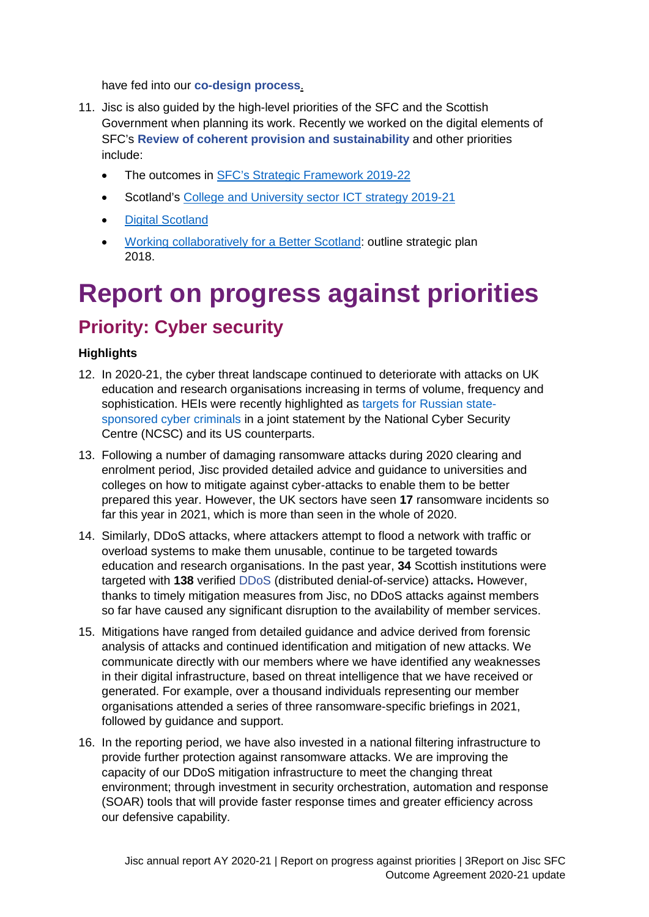have fed into our **[co-design process](https://www.jisc.ac.uk/rd/how-we-innovate/co-design)**.

- 11. Jisc is also guided by the high-level priorities of the SFC and the Scottish Government when planning its work. Recently we worked on the digital elements of SFC's **[Review of coherent provision and sustainability](http://www.sfc.ac.uk/review/review.aspx)** and other priorities include:
	- The outcomes in [SFC's Strategic Framework](http://www.sfc.ac.uk/web/FILES/StrategicFramework/Scottish_Funding_Council_Strategic_Framework_2019-2022.pdf) 2019-22
	- Scotland's [College and University sector ICT strategy](http://www.sfc.ac.uk/web/FILES/Quality/Further_and_Higher_Education_ICT_Strategy.pdf) 2019-21
	- [Digital Scotland](https://www.gov.scot/publications/realising-scotlands-full-potential-digital-world-digital-strategy-scotland/)
	- [Working collaboratively for a Better Scotland:](https://www.gov.scot/binaries/content/documents/govscot/publications/corporate-report/2018/06/enterprise-and-skills-strategic-board-outline-plan/documents/13799bff-2639-4557-97e7-3568dd1b0f78/13799bff-2639-4557-97e7-3568dd1b0f78/govscot%3Adocument) outline strategic plan 2018.

# <span id="page-3-0"></span>**Report on progress against priorities**

## <span id="page-3-1"></span>**Priority: Cyber security**

### **Highlights**

- 12. In 2020-21, the cyber threat landscape continued to deteriorate with attacks on UK education and research organisations increasing in terms of volume, frequency and sophistication. HEIs were recently highlighted as [targets for Russian state](https://www.jisc.ac.uk/blog/universities-alerted-to-cyber-threat-from-russia-06-jul-2021)[sponsored cyber criminals](https://www.jisc.ac.uk/blog/universities-alerted-to-cyber-threat-from-russia-06-jul-2021) in a joint statement by the National Cyber Security Centre (NCSC) and its US counterparts.
- 13. Following a number of damaging ransomware attacks during 2020 clearing and enrolment period, Jisc provided detailed advice and guidance to universities and colleges on how to mitigate against cyber-attacks to enable them to be better prepared this year. However, the UK sectors have seen **17** ransomware incidents so far this year in 2021, which is more than seen in the whole of 2020.
- 14. Similarly, DDoS attacks, where attackers attempt to flood a network with traffic or overload systems to make them unusable, continue to be targeted towards education and research organisations. In the past year, **34** Scottish institutions were targeted with **138** verified [DDoS](https://www.jisc.ac.uk/ddos-mitigation) (distributed denial-of-service) attacks**.** However, thanks to timely mitigation measures from Jisc, no DDoS attacks against members so far have caused any significant disruption to the availability of member services.
- 15. Mitigations have ranged from detailed guidance and advice derived from forensic analysis of attacks and continued identification and mitigation of new attacks. We communicate directly with our members where we have identified any weaknesses in their digital infrastructure, based on threat intelligence that we have received or generated. For example, over a thousand individuals representing our member organisations attended a series of three ransomware-specific briefings in 2021, followed by guidance and support.
- 16. In the reporting period, we have also invested in a national filtering infrastructure to provide further protection against ransomware attacks. We are improving the capacity of our DDoS mitigation infrastructure to meet the changing threat environment; through investment in security orchestration, automation and response (SOAR) tools that will provide faster response times and greater efficiency across our defensive capability.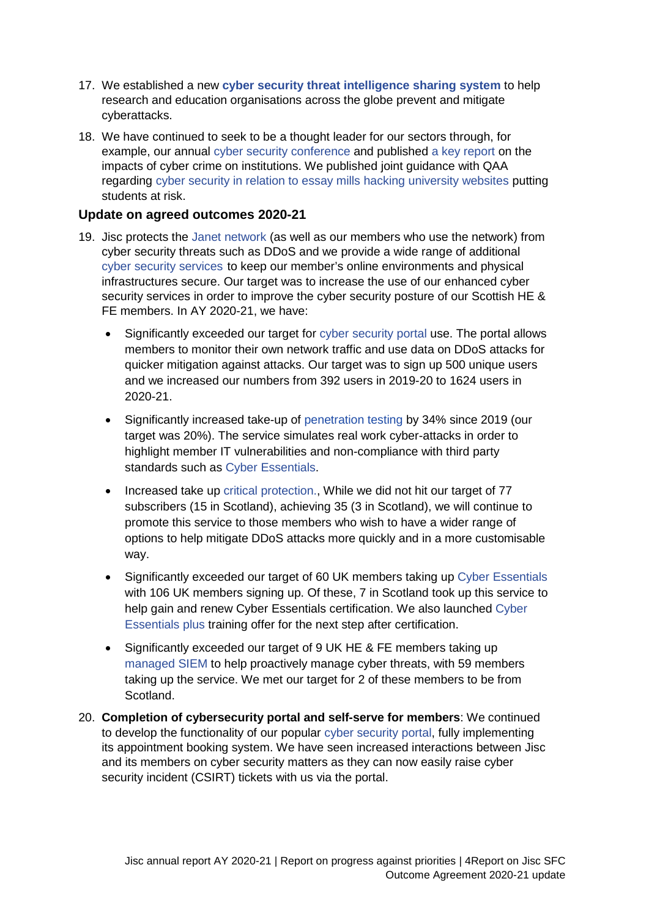- 17. We established a new **[cyber security threat intelligence sharing system](https://www.jisc.ac.uk/news/new-global-partnership-helps-education-sector-defend-against-cyber-attacks-25-may-2021)** to help research and education organisations across the globe prevent and mitigate cyberattacks.
- 18. We have continued to seek to be a thought leader for our sectors through, for example, our annual [cyber security conference](https://www.jisc.ac.uk/security-conference) and published [a key report](https://www.jisc.ac.uk/reports/cyber-impact) on the impacts of cyber crime on institutions. We published joint guidance with QAA regarding [cyber security in relation to essay mills hacking university websites](https://www.qaa.ac.uk/docs/qaa/guidance/emerging-cyber-security-threats.pdf) putting students at risk.

### **Update on agreed outcomes 2020-21**

- 19. Jisc protects the [Janet network](https://www.jisc.ac.uk/janet) (as well as our members who use the network) from cyber security threats such as DDoS and we provide a wide range of additional [cyber security services](https://www.jisc.ac.uk/cyber-security) to keep our member's online environments and physical infrastructures secure. Our target was to increase the use of our enhanced cyber security services in order to improve the cyber security posture of our Scottish HE & FE members. In AY 2020-21, we have:
	- Significantly exceeded our target for [cyber security portal](https://cybersecurity.jisc.ac.uk/) use. The portal allows members to monitor their own network traffic and use data on DDoS attacks for quicker mitigation against attacks. Our target was to sign up 500 unique users and we increased our numbers from 392 users in 2019-20 to 1624 users in 2020-21.
	- Significantly increased take-up of [penetration testing](https://www.jisc.ac.uk/penetration-testing) by 34% since 2019 (our target was 20%). The service simulates real work cyber-attacks in order to highlight member IT vulnerabilities and non-compliance with third party standards such as [Cyber Essentials.](https://www.jisc.ac.uk/cyber-essentials)
	- Increased take up [critical protection.](https://www.jisc.ac.uk/critical-services-protection), While we did not hit our target of 77 subscribers (15 in Scotland), achieving 35 (3 in Scotland), we will continue to promote this service to those members who wish to have a wider range of options to help mitigate DDoS attacks more quickly and in a more customisable way.
	- Significantly exceeded our target of 60 UK members taking up [Cyber Essentials](https://www.jisc.ac.uk/cyber-essentials) with 106 UK members signing up. Of these, 7 in Scotland took up this service to help gain and renew Cyber Essentials certification. We also launched [Cyber](https://www.jisc.ac.uk/cyber-essentials#plus)  [Essentials plus](https://www.jisc.ac.uk/cyber-essentials#plus) training offer for the next step after certification.
	- Significantly exceeded our target of 9 UK HE & FE members taking up [managed SIEM](https://www.jisc.ac.uk/managed-siem) to help proactively manage cyber threats, with 59 members taking up the service. We met our target for 2 of these members to be from Scotland.
- 20. **Completion of cybersecurity portal and self-serve for members**: We continued to develop the functionality of our popular [cyber security portal,](https://cybersecurity.jisc.ac.uk/) fully implementing its appointment booking system. We have seen increased interactions between Jisc and its members on cyber security matters as they can now easily raise cyber security incident (CSIRT) tickets with us via the portal.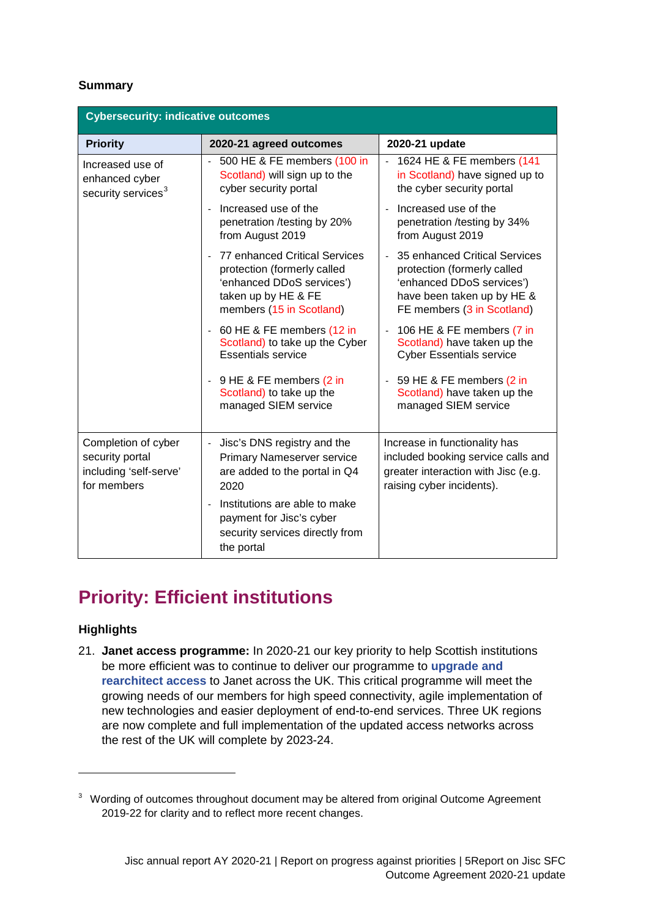### **Summary**

| <b>Cybersecurity: indicative outcomes</b>                                       |                                                                                                                                              |                                                                                                                                                                         |  |  |
|---------------------------------------------------------------------------------|----------------------------------------------------------------------------------------------------------------------------------------------|-------------------------------------------------------------------------------------------------------------------------------------------------------------------------|--|--|
| <b>Priority</b>                                                                 | 2020-21 agreed outcomes                                                                                                                      | 2020-21 update                                                                                                                                                          |  |  |
| Increased use of<br>enhanced cyber<br>security services <sup>3</sup>            | - 500 HE & FE members (100 in<br>Scotland) will sign up to the<br>cyber security portal                                                      | 1624 HE & FE members (141<br>in Scotland) have signed up to<br>the cyber security portal                                                                                |  |  |
|                                                                                 | Increased use of the<br>penetration /testing by 20%<br>from August 2019                                                                      | Increased use of the<br>penetration /testing by 34%<br>from August 2019                                                                                                 |  |  |
|                                                                                 | 77 enhanced Critical Services<br>protection (formerly called<br>'enhanced DDoS services')<br>taken up by HE & FE<br>members (15 in Scotland) | 35 enhanced Critical Services<br>$\blacksquare$<br>protection (formerly called<br>'enhanced DDoS services')<br>have been taken up by HE &<br>FE members (3 in Scotland) |  |  |
|                                                                                 | 60 HE & FE members (12 in<br>Scotland) to take up the Cyber<br><b>Essentials service</b>                                                     | 106 HE & FE members (7 in<br>$\Box$<br>Scotland) have taken up the<br><b>Cyber Essentials service</b>                                                                   |  |  |
|                                                                                 | 9 HE & FE members (2 in<br>$\blacksquare$<br>Scotland) to take up the<br>managed SIEM service                                                | 59 HE & FE members (2 in<br>$\overline{\phantom{a}}$<br>Scotland) have taken up the<br>managed SIEM service                                                             |  |  |
| Completion of cyber<br>security portal<br>including 'self-serve'<br>for members | Jisc's DNS registry and the<br>$\overline{a}$<br><b>Primary Nameserver service</b><br>are added to the portal in Q4<br>2020                  | Increase in functionality has<br>included booking service calls and<br>greater interaction with Jisc (e.g.<br>raising cyber incidents).                                 |  |  |
|                                                                                 | Institutions are able to make<br>÷,<br>payment for Jisc's cyber<br>security services directly from<br>the portal                             |                                                                                                                                                                         |  |  |

## <span id="page-5-0"></span>**Priority: Efficient institutions**

### **Highlights**

<span id="page-5-1"></span>-

21. **Janet access programme:** In 2020-21 our key priority to help Scottish institutions be more efficient was to continue to deliver our programme to **[upgrade and](https://www.jisc.ac.uk/rd/projects/shaping-the-future-of-janet)  [rearchitect access](https://www.jisc.ac.uk/rd/projects/shaping-the-future-of-janet)** to Janet across the UK. This critical programme will meet the growing needs of our members for high speed connectivity, agile implementation of new technologies and easier deployment of end-to-end services. Three UK regions are now complete and full implementation of the updated access networks across the rest of the UK will complete by 2023-24.

<sup>&</sup>lt;sup>3</sup> Wording of outcomes throughout document may be altered from original Outcome Agreement 2019-22 for clarity and to reflect more recent changes.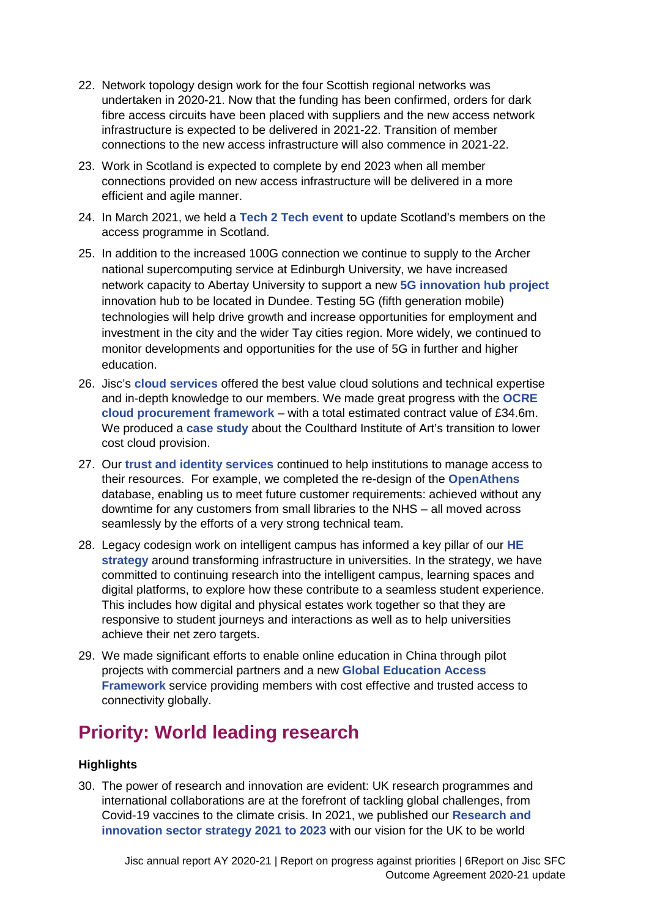- 22. Network topology design work for the four Scottish regional networks was undertaken in 2020-21. Now that the funding has been confirmed, orders for dark fibre access circuits have been placed with suppliers and the new access network infrastructure is expected to be delivered in 2021-22. Transition of member connections to the new access infrastructure will also commence in 2021-22.
- 23. Work in Scotland is expected to complete by end 2023 when all member connections provided on new access infrastructure will be delivered in a more efficient and agile manner.
- 24. In March 2021, we held a **[Tech 2 Tech event](https://www.jisc.ac.uk/events/tech-2-tech-janet-access-programme-update-for-scotland-23-feb-2021)** to update Scotland's members on the access programme in Scotland.
- 25. In addition to the increased 100G connection we continue to supply to the Archer national supercomputing service at Edinburgh University, we have increased network capacity to Abertay University to support a new **[5G innovation hub project](https://jisc365.sharepoint.com/sites/opsgov/foreporting/Shared%20Documents/SFC/AY20-21%20Report/One%20of%20the%20things%20we%20have%20done%20recently%20is%20to%20increase%20the%20capacity%20of%20the%20Abertay%20Uni%20connection%20as%20they%20are%20involved%20with%20a%20project%20with%20the%20Scottish%20Government%20in%20doing%205G%20testing.%20Abertay%20needed%20that%20capacity%20increase%20to%20be%20eligible%20to%20be%20part%20of%20the%20project.%20https:/www.abertay.ac.uk/news/2021/abertay-to-support-5g-innovation-hub-project/)** innovation hub to be located in Dundee. Testing 5G (fifth generation mobile) technologies will help drive growth and increase opportunities for employment and investment in the city and the wider Tay cities region. More widely, we continued to monitor developments and opportunities for the use of 5G in further and higher education.
- 26. Jisc's **[cloud services](https://www.jisc.ac.uk/cloud)** offered the best value cloud solutions and technical expertise and in-depth knowledge to our members. We made great progress with the **[OCRE](https://www.jisc.ac.uk/ocre-cloud-framework)  [cloud procurement framework](https://www.jisc.ac.uk/ocre-cloud-framework)** – with a total estimated contract value of £34.6m. We produced a **[case study](https://repository.jisc.ac.uk/8395/1/the-courtauld-ocre-framework-case-study.pdf)** about the Coulthard Institute of Art's transition to lower cost cloud provision.
- 27. Our **[trust and identity services](https://www.jisc.ac.uk/trust-and-identity)** continued to help institutions to manage access to their resources. For example, we completed the re-design of the **[OpenAthens](https://www.jisc.ac.uk/openathens)** database, enabling us to meet future customer requirements: achieved without any downtime for any customers from small libraries to the NHS – all moved across seamlessly by the efforts of a very strong technical team.
- 28. Legacy codesign work on intelligent campus has informed a key pillar of our **[HE](https://www.jisc.ac.uk/reports/higher-education-strategy-2021-2024)  [strategy](https://www.jisc.ac.uk/reports/higher-education-strategy-2021-2024)** around transforming infrastructure in universities. In the strategy, we have committed to continuing research into the intelligent campus, learning spaces and digital platforms, to explore how these contribute to a seamless student experience. This includes how digital and physical estates work together so that they are responsive to student journeys and interactions as well as to help universities achieve their net zero targets.
- 29. We made significant efforts to enable online education in China through pilot projects with commercial partners and a new **[Global Education Access](https://www.jisc.ac.uk/global-education-access-framework)  [Framework](https://www.jisc.ac.uk/global-education-access-framework)** service providing members with cost effective and trusted access to connectivity globally.

## <span id="page-6-0"></span>**Priority: World leading research**

### **Highlights**

30. The power of research and innovation are evident: UK research programmes and international collaborations are at the forefront of tackling global challenges, from Covid-19 vaccines to the climate crisis. In 2021, we published our **[Research and](https://www.jisc.ac.uk/reports/research-and-innovation-sector-strategy-2021-2023)  [innovation sector strategy 2021 to 2023](https://www.jisc.ac.uk/reports/research-and-innovation-sector-strategy-2021-2023)** with our vision for the UK to be world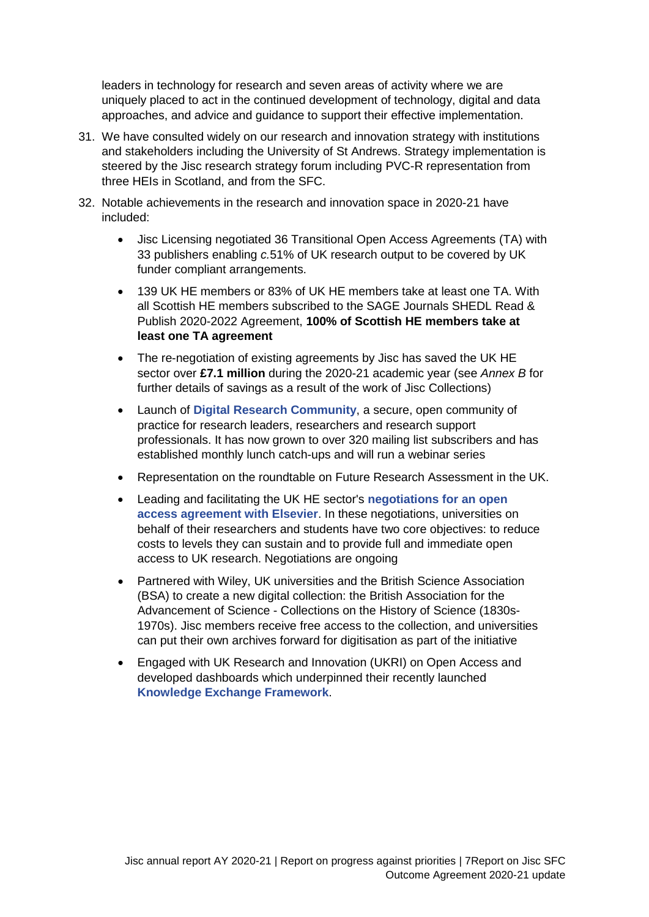leaders in technology for research and seven areas of activity where we are uniquely placed to act in the continued development of technology, digital and data approaches, and advice and guidance to support their effective implementation.

- 31. We have consulted widely on our research and innovation strategy with institutions and stakeholders including the University of St Andrews. Strategy implementation is steered by the Jisc research strategy forum including PVC-R representation from three HEIs in Scotland, and from the SFC.
- 32. Notable achievements in the research and innovation space in 2020-21 have included:
	- Jisc Licensing negotiated 36 Transitional Open Access Agreements (TA) with 33 publishers enabling *c.*51% of UK research output to be covered by UK funder compliant arrangements.
	- 139 UK HE members or 83% of UK HE members take at least one TA. With all Scottish HE members subscribed to the SAGE Journals SHEDL Read & Publish 2020-2022 Agreement, **100% of Scottish HE members take at least one TA agreement**
	- The re-negotiation of existing agreements by Jisc has saved the UK HE sector over **£7.1 million** during the 2020-21 academic year (see *Annex B* for further details of savings as a result of the work of Jisc Collections)
	- Launch of **[Digital Research Community](https://www.jisc.ac.uk/get-involved/digital-research-community-group)**, a secure, open community of practice for research leaders, researchers and research support professionals. It has now grown to over 320 mailing list subscribers and has established monthly lunch catch-ups and will run a webinar series
	- Representation on the roundtable on Future Research Assessment in the UK.
	- Leading and facilitating the UK HE sector's **[negotiations for an open](https://www.jisc.ac.uk/elsevier-sciencedirect-negotiations)  [access agreement with Elsevier](https://www.jisc.ac.uk/elsevier-sciencedirect-negotiations)**. In these negotiations, universities on behalf of their researchers and students have two core objectives: to reduce costs to levels they can sustain and to provide full and immediate open access to UK research. Negotiations are ongoing
	- Partnered with Wiley, UK universities and the British Science Association (BSA) to create a new digital collection: the British Association for the Advancement of Science - Collections on the History of Science (1830s-1970s). Jisc members receive free access to the collection, and universities can put their own archives forward for digitisation as part of the initiative
	- Engaged with UK Research and Innovation (UKRI) on Open Access and developed dashboards which underpinned their recently launched **[Knowledge Exchange Framework](https://re.ukri.org/knowledge-exchange/knowledge-exchange-framework/)**.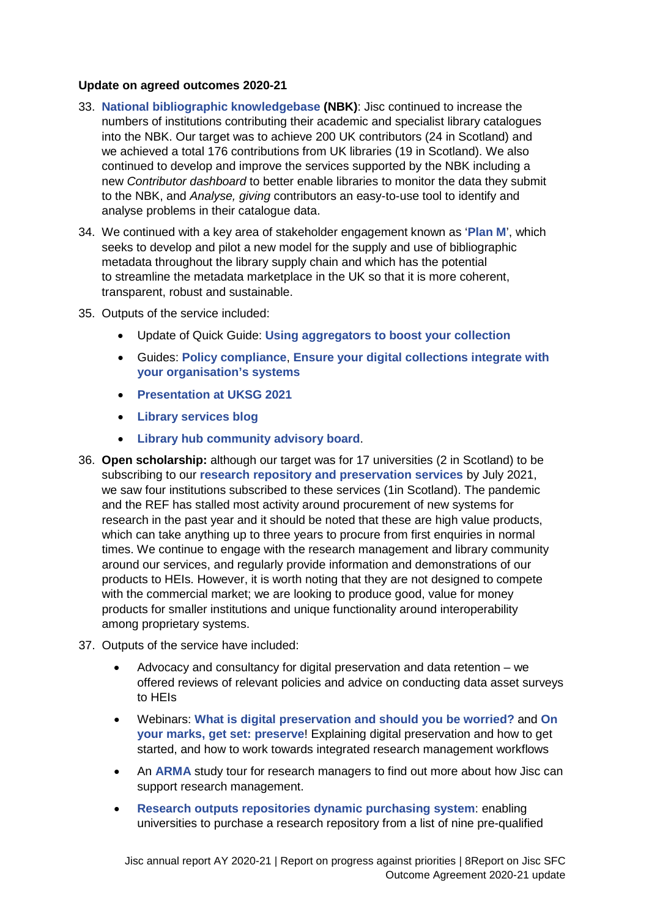#### **Update on agreed outcomes 2020-21**

- 33. **[National bibliographic knowledgebase](https://www.jisc.ac.uk/national-bibliographic-knowledgebase) (NBK)**: Jisc continued to increase the numbers of institutions contributing their academic and specialist library catalogues into the NBK. Our target was to achieve 200 UK contributors (24 in Scotland) and we achieved a total 176 contributions from UK libraries (19 in Scotland). We also continued to develop and improve the services supported by the NBK including a new *Contributor dashboard* to better enable libraries to monitor the data they submit to the NBK, and *Analyse, giving* contributors an easy-to-use tool to identify and analyse problems in their catalogue data.
- 34. We continued with a key area of stakeholder engagement known as '**[Plan M](https://libraryservices.jiscinvolve.org/wp/2021/07/towardsagreement/)**', which seeks to develop and pilot a new model for the supply and use of bibliographic metadata throughout the library supply chain and which has the potential to streamline the metadata marketplace in the UK so that it is more coherent, transparent, robust and sustainable.
- 35. Outputs of the service included:
	- Update of Quick Guide: **[Using aggregators to boost your collection](https://www.jisc.ac.uk/guides/making-your-digital-collections-easier-to-discover/use-aggregators)**
	- Guides: **[Policy compliance](https://www.canada.ca/en/immigration-refugees-citizenship/services/canadian-passports/child-passport/apply-how.html)**, **[Ensure your digital collections integrate with](https://www.jisc.ac.uk/guides/making-your-digital-collections-easier-to-discover/integrate-with-systems)  [your organisation's systems](https://www.jisc.ac.uk/guides/making-your-digital-collections-easier-to-discover/integrate-with-systems)**
	- **[Presentation at UKSG 2021](https://www.jisc.ac.uk/events/jisc-at-uksg-12-apr-2021)**
	- **[Library services blog](https://libraryservices.jiscinvolve.org/wp/2021/08/more-specialist-libraries-added-to-discover/)**
	- **[Library hub community advisory board](https://libraryservices.jiscinvolve.org/wp/2021/09/lhcab-march-july-2021-meetings/)**.
- 36. **Open scholarship:** although our target was for 17 universities (2 in Scotland) to be subscribing to our **[research repository and preservation services](https://www.jisc.ac.uk/research-repository)** by July 2021, we saw four institutions subscribed to these services (1in Scotland). The pandemic and the REF has stalled most activity around procurement of new systems for research in the past year and it should be noted that these are high value products, which can take anything up to three years to procure from first enquiries in normal times. We continue to engage with the research management and library community around our services, and regularly provide information and demonstrations of our products to HEIs. However, it is worth noting that they are not designed to compete with the commercial market; we are looking to produce good, value for money products for smaller institutions and unique functionality around interoperability among proprietary systems.
- 37. Outputs of the service have included:
	- Advocacy and consultancy for digital preservation and data retention we offered reviews of relevant policies and advice on conducting data asset surveys to HEIs
	- Webinars: **[What is digital preservation and should you be worried?](https://www.jisc.ac.uk/events/what-is-digital-preservation-and-should-you-be-worried-05-nov-2020)** and **[On](https://www.jisc.ac.uk/events/on-your-marks-get-set-preserve-05-may-2021)  [your marks,](https://www.jisc.ac.uk/events/on-your-marks-get-set-preserve-05-may-2021) get set: preserve**! Explaining digital preservation and how to get started, and how to work towards integrated research management workflows
	- An **[ARMA](https://arma.ac.uk/)** study tour for research managers to find out more about how Jisc can support research management.
	- **[Research outputs repositories dynamic purchasing system](https://www.jisc.ac.uk/research-outputs-repository-systems-purchasing)**: enabling universities to purchase a research repository from a list of nine pre-qualified

Jisc annual report AY 2020-21 | Report on progress against priorities | 8Report on Jisc SFC Outcome Agreement 2020-21 update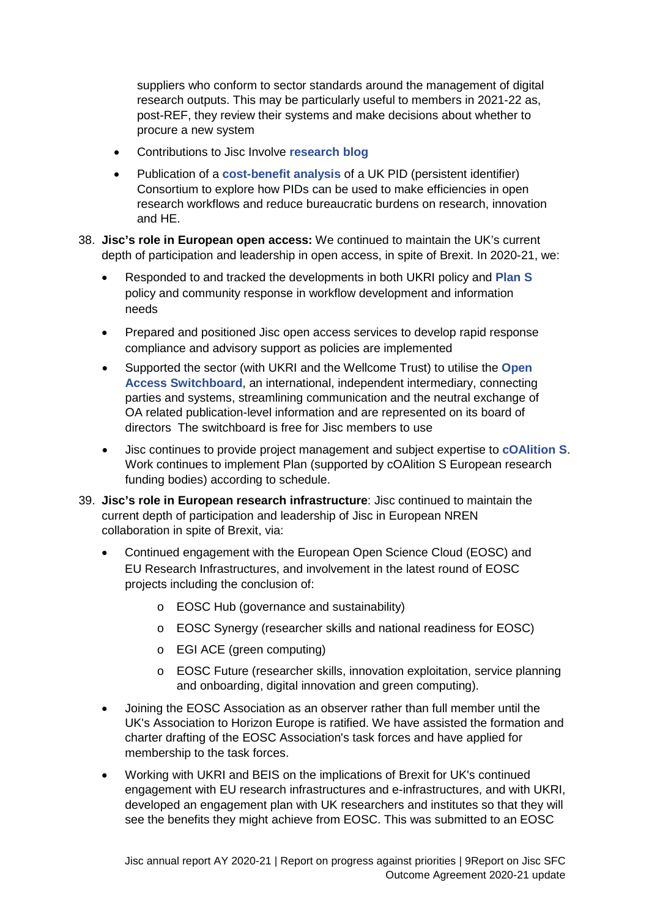suppliers who conform to sector standards around the management of digital research outputs. This may be particularly useful to members in 2021-22 as, post-REF, they review their systems and make decisions about whether to procure a new system

- Contributions to Jisc Involve **[research blog](https://research.jiscinvolve.org/wp/)**
- Publication of a **[cost-benefit analysis](https://zenodo.org/record/4772627)** of a UK PID (persistent identifier) Consortium to explore how PIDs can be used to make efficiencies in open research workflows and reduce bureaucratic burdens on research, innovation and HE.
- 38. **Jisc's role in European open access:** We continued to maintain the UK's current depth of participation and leadership in open access, in spite of Brexit. In 2020-21, we:
	- Responded to and tracked the developments in both UKRI policy and **[Plan S](https://www.coalition-s.org/)** policy and community response in workflow development and information needs
	- Prepared and positioned Jisc open access services to develop rapid response compliance and advisory support as policies are implemented
	- Supported the sector (with UKRI and the Wellcome Trust) to utilise the **[Open](http://www.oaswitchboard.org/) Access [Switchboard](http://www.oaswitchboard.org/)**, an international, independent intermediary, connecting parties and systems, streamlining communication and the neutral exchange of OA related publication-level information and are represented on its board of directors The switchboard is free for Jisc members to use
	- Jisc continues to provide project management and subject expertise to **[cOAlition S](https://www.coalition-s.org/)**. Work continues to implement Plan (supported by cOAlition S European research funding bodies) according to schedule.
- 39. **Jisc's role in European research infrastructure**: Jisc continued to maintain the current depth of participation and leadership of Jisc in European NREN collaboration in spite of Brexit, via:
	- Continued engagement with the European Open Science Cloud (EOSC) and EU Research Infrastructures, and involvement in the latest round of EOSC projects including the conclusion of:
		- o EOSC Hub (governance and sustainability)
		- o EOSC Synergy (researcher skills and national readiness for EOSC)
		- o EGI ACE (green computing)
		- o EOSC Future (researcher skills, innovation exploitation, service planning and onboarding, digital innovation and green computing).
	- Joining the EOSC Association as an observer rather than full member until the UK's Association to Horizon Europe is ratified. We have assisted the formation and charter drafting of the EOSC Association's task forces and have applied for membership to the task forces.
	- Working with UKRI and BEIS on the implications of Brexit for UK's continued engagement with EU research infrastructures and e-infrastructures, and with UKRI, developed an engagement plan with UK researchers and institutes so that they will see the benefits they might achieve from EOSC. This was submitted to an EOSC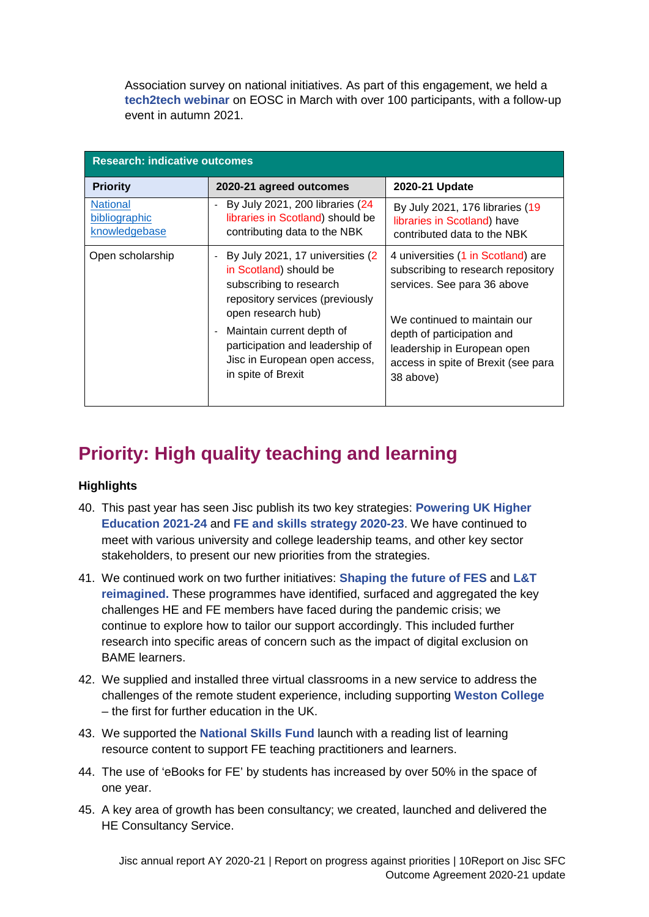Association survey on national initiatives. As part of this engagement, we held a **[tech2tech webinar](https://www.jisc.ac.uk/get-involved/tech-2-tech-your-role-in-shaping-janet)** on EOSC in March with over 100 participants, with a follow-up event in autumn 2021.

| <b>Research: indicative outcomes</b>              |                                                                                                                                                                                                                                                                        |                                                                                                                                                                                                                                                          |  |  |
|---------------------------------------------------|------------------------------------------------------------------------------------------------------------------------------------------------------------------------------------------------------------------------------------------------------------------------|----------------------------------------------------------------------------------------------------------------------------------------------------------------------------------------------------------------------------------------------------------|--|--|
| <b>Priority</b>                                   | 2020-21 agreed outcomes                                                                                                                                                                                                                                                | 2020-21 Update                                                                                                                                                                                                                                           |  |  |
| <b>National</b><br>bibliographic<br>knowledgebase | By July 2021, 200 libraries (24<br>libraries in Scotland) should be<br>contributing data to the NBK                                                                                                                                                                    | By July 2021, 176 libraries (19<br>libraries in Scotland) have<br>contributed data to the NBK                                                                                                                                                            |  |  |
| Open scholarship                                  | By July 2021, 17 universities (2)<br>in Scotland) should be<br>subscribing to research<br>repository services (previously<br>open research hub)<br>Maintain current depth of<br>participation and leadership of<br>Jisc in European open access,<br>in spite of Brexit | 4 universities (1 in Scotland) are<br>subscribing to research repository<br>services. See para 36 above<br>We continued to maintain our<br>depth of participation and<br>leadership in European open<br>access in spite of Brexit (see para<br>38 above) |  |  |

## <span id="page-10-0"></span>**Priority: High quality teaching and learning**

### **Highlights**

- 40. This past year has seen Jisc publish its two key strategies: **[Powering UK Higher](https://www.jisc.ac.uk/reports/higher-education-strategy-2021-2024)  [Education 2021-24](https://www.jisc.ac.uk/reports/higher-education-strategy-2021-2024)** and **[FE and skills strategy 2020-23](https://www.jisc.ac.uk/reports/jisc-further-education-and-skills-strategy-2020-2023)**. We have continued to meet with various university and college leadership teams, and other key sector stakeholders, to present our new priorities from the strategies.
- 41. We continued work on two further initiatives: **[Shaping the future of FES](https://www.jisc.ac.uk/news/jisc-and-aoc-launch-plan-to-shape-digital-future-of-further-education-and-skills-09-jun-2020)** and **[L&T](https://www.jisc.ac.uk/learning-and-teaching-reimagined)  [reimagined.](https://www.jisc.ac.uk/learning-and-teaching-reimagined)** These programmes have identified, surfaced and aggregated the key challenges HE and FE members have faced during the pandemic crisis; we continue to explore how to tailor our support accordingly. This included further research into specific areas of concern such as the impact of digital exclusion on BAME learners.
- 42. We supplied and installed three virtual classrooms in a new service to address the challenges of the remote student experience, including supporting **[Weston College](https://www.jisc.ac.uk/news/weston-college-launches-uks-first-virtual-classroom-for-further-education-12-oct-2020)**  – the first for further education in the UK.
- 43. We supported the **[National Skills Fund](https://www.gov.uk/guidance/national-skills-fund)** launch with a reading list of learning resource content to support FE teaching practitioners and learners.
- 44. The use of 'eBooks for FE' by students has increased by over 50% in the space of one year.
- 45. A key area of growth has been consultancy; we created, launched and delivered the HE Consultancy Service.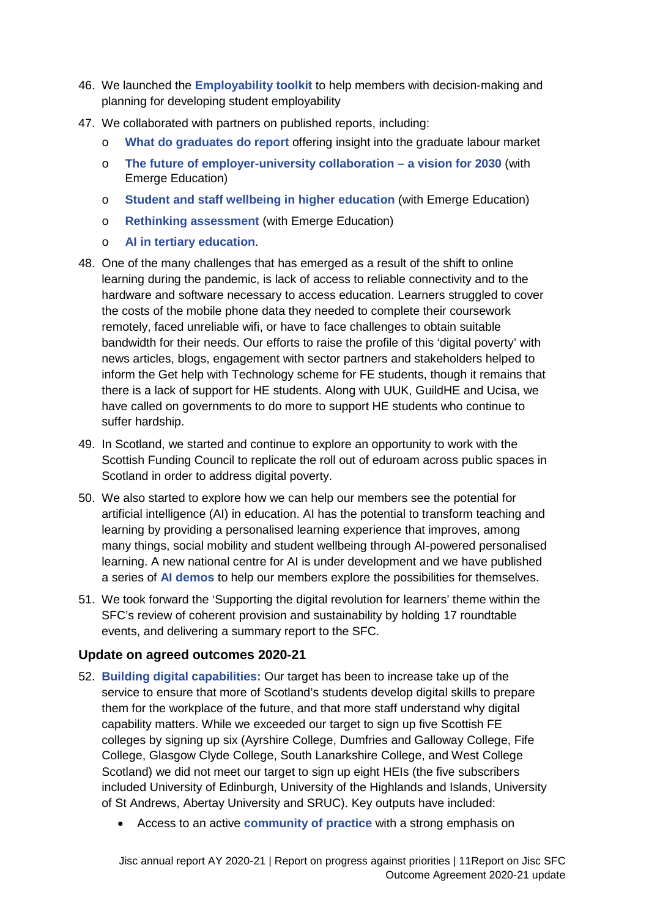- 46. We launched the **[Employability toolkit](https://www.jisc.ac.uk/guides/employability-toolkit)** to help members with decision-making and planning for developing student employability
- 47. We collaborated with partners on published reports, including:
	- o **[What do graduates do report](https://luminate.prospects.ac.uk/what-do-graduates-do)** offering insight into the graduate labour market
	- o **[The future of employer-university collaboration –](https://www.jisc.ac.uk/reports/the-future-of-employer-university-collaboration) a vision for 2030** (with Emerge Education)
	- o **[Student and staff wellbeing in higher education](https://www.jisc.ac.uk/reports/student-and-staff-wellbeing-in-higher-education)** (with Emerge Education)
	- o **[Rethinking assessment](https://www.jisc.ac.uk/reports/rethinking-assessment)** (with Emerge Education)
	- o **[AI in tertiary education](https://www.jisc.ac.uk/reports/ai-in-tertiary-education)**.
- 48. One of the many challenges that has emerged as a result of the shift to online learning during the pandemic, is lack of access to reliable connectivity and to the hardware and software necessary to access education. Learners struggled to cover the costs of the mobile phone data they needed to complete their coursework remotely, faced unreliable wifi, or have to face challenges to obtain suitable bandwidth for their needs. Our efforts to raise the profile of this 'digital poverty' with news articles, blogs, engagement with sector partners and stakeholders helped to inform the Get help with Technology scheme for FE students, though it remains that there is a lack of support for HE students. Along with UUK, GuildHE and Ucisa, we have called on governments to do more to support HE students who continue to suffer hardship.
- 49. In Scotland, we started and continue to explore an opportunity to work with the Scottish Funding Council to replicate the roll out of eduroam across public spaces in Scotland in order to address digital poverty.
- 50. We also started to explore how we can help our members see the potential for artificial intelligence (AI) in education. AI has the potential to transform teaching and learning by providing a personalised learning experience that improves, among many things, social mobility and student wellbeing through AI-powered personalised learning. A new national centre for AI is under development and we have published a series of **[AI demos](https://exploreai.jisc.ac.uk/)** to help our members explore the possibilities for themselves.
- 51. We took forward the 'Supporting the digital revolution for learners' theme within the SFC's review of coherent provision and sustainability by holding 17 roundtable events, and delivering a summary report to the SFC.

### **Update on agreed outcomes 2020-21**

- 52. **[Building digital](https://www.jisc.ac.uk/building-digital-capability) capabilities:** Our target has been to increase take up of the service to ensure that more of Scotland's students develop digital skills to prepare them for the workplace of the future, and that more staff understand why digital capability matters. While we exceeded our target to sign up five Scottish FE colleges by signing up six (Ayrshire College, Dumfries and Galloway College, Fife College, Glasgow Clyde College, South Lanarkshire College, and West College Scotland) we did not meet our target to sign up eight HEIs (the five subscribers included University of Edinburgh, University of the Highlands and Islands, University of St Andrews, Abertay University and SRUC). Key outputs have included:
	- Access to an active **[community of practice](https://jisc365.sharepoint.com/sites/opsgov/foreporting/Shared%20Documents/SFC/AY20-21%20Report/This%20community%20of%20practice%20is%20open%20to%20staff%20and%20leaders%20in%20colleges%20and%20universities%20with%20a%20role%20and%20interest%20in%20the%20development%20of%20digital%20capabilities.%20There%20is%20a%20strong%20emphasis%20on%20leadership%20by%20the%20community,%20learning%20from%20each%20other%20and%20sharing%20what%20works.)** with a strong emphasis on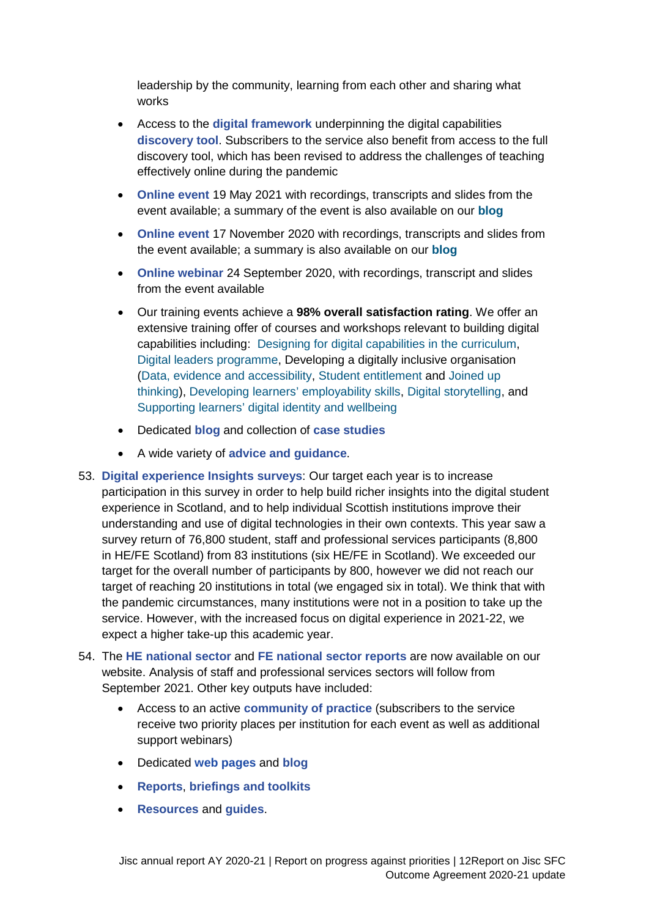leadership by the community, learning from each other and sharing what works

- Access to the **[digital framework](https://repository.jisc.ac.uk/7278/1/BDCP-DC-Framework-Individual-6E-110319.pdf)** underpinning the digital capabilities **[discovery tool](https://digitalcapability.jisc.ac.uk/our-service/discovery-tool/)**. Subscribers to the service also benefit from access to the full discovery tool, which has been revised to address the challenges of teaching effectively online during the pandemic
- **[Online event](https://www.jisc.ac.uk/events/joint-building-digital-capability-and-digital-experience-insights-community-of-practice-19-may-2021)** 19 May 2021 with recordings, transcripts and slides from the event available; a summary of the event is also available on our **[blog](https://digitalcapability.jiscinvolve.org/wp/2021/06/11/a-great-community-effort/)**
- **[Online event](https://www.jisc.ac.uk/events/building-digital-capability-and-digital-experience-insights-community-of-practice-17-nov-2020)** 17 November 2020 with recordings, transcripts and slides from the event available; a summary is also available on our **[blog](https://digitalstudent.jiscinvolve.org/wp/2020/12/01/a-collaborative-agile-resilient-and-future-focused-community/)**
- **[Online webinar](https://www.jisc.ac.uk/events/supporting-staff-to-teach-effectively-online-24-sep-2020)** 24 September 2020, with recordings, transcript and slides from the event available
- Our training events achieve a **98% overall satisfaction rating**. We offer an extensive training offer of courses and workshops relevant to building digital capabilities including: [Designing for digital capabilities in the curriculum,](https://www.jisc.ac.uk/training/designing-for-digital-capabilities-in-the-curriculum) [Digital leaders programme,](https://www.jisc.ac.uk/training/digital-leaders-programme) Developing a digitally inclusive organisation [\(Data, evidence and accessibility,](https://www.jisc.ac.uk/training/data-evidence-and-accessibility) [Student entitlement](https://www.jisc.ac.uk/training/student-entitlement) and [Joined up](https://www.jisc.ac.uk/training/joined-up-thinking)  [thinking\)](https://www.jisc.ac.uk/training/joined-up-thinking), [Developing learners' employability skills,](https://www.jisc.ac.uk/training/developing-learners-employability-skills) [Digital storytelling,](https://www.jisc.ac.uk/training/digital-storytelling) and [Supporting learners' digital identity and wellbeing](https://www.jisc.ac.uk/training/supporting-learners-digital-identity-and-wellbeing)
- Dedicated **[blog](https://digitalcapability.jiscinvolve.org/wp/)** and collection of **[case studies](https://www.digitalcapability.jisc.ac.uk/)**
- A wide variety of **[advice and guidance](https://www.digitalcapability.jisc.ac.uk/our-service/bdc-advice-and-guidance/)**.
- 53. **[Digital experience Insights surveys](https://www.jisc.ac.uk/digital-experience-insights)**: Our target each year is to increase participation in this survey in order to help build richer insights into the digital student experience in Scotland, and to help individual Scottish institutions improve their understanding and use of digital technologies in their own contexts. This year saw a survey return of 76,800 student, staff and professional services participants (8,800 in HE/FE Scotland) from 83 institutions (six HE/FE in Scotland). We exceeded our target for the overall number of participants by 800, however we did not reach our target of reaching 20 institutions in total (we engaged six in total). We think that with the pandemic circumstances, many institutions were not in a position to take up the service. However, with the increased focus on digital experience in 2021-22, we expect a higher take-up this academic year.
- 54. The **[HE national sector](https://www.jisc.ac.uk/news/students-say-universities-must-learn-from-pandemic-to-improve-higher-education-07-sep-2021)** and **[FE national sector reports](https://repository.jisc.ac.uk/8488/1/Student%20DEI%20FE%20report%202021%20final.pdf)** are now available on our website. Analysis of staff and professional services sectors will follow from September 2021. Other key outputs have included:
	- Access to an active **[community of practice](https://digitalinsights.jisc.ac.uk/our-service/community-of-practice/)** (subscribers to the service receive two priority places per institution for each event as well as additional support webinars)
	- Dedicated **[web pages](https://digitalinsights.jisc.ac.uk/)** and **[blog](https://digitalcapability.jiscinvolve.org/wp/?s=Insights)**
	- **[Reports](https://digitalinsights.jisc.ac.uk/reports-and-briefings/our-reports/)**, **[briefings and toolkits](https://digitalinsights.jisc.ac.uk/reports-and-briefings/our-briefings-and-toolkits/)**
	- **[Resources](https://digitalinsights.jisc.ac.uk/running-insights-surveys/our-resources/)** and **[guides](https://digitalinsights.jisc.ac.uk/running-insights-surveys/advice-and-guidance/)**.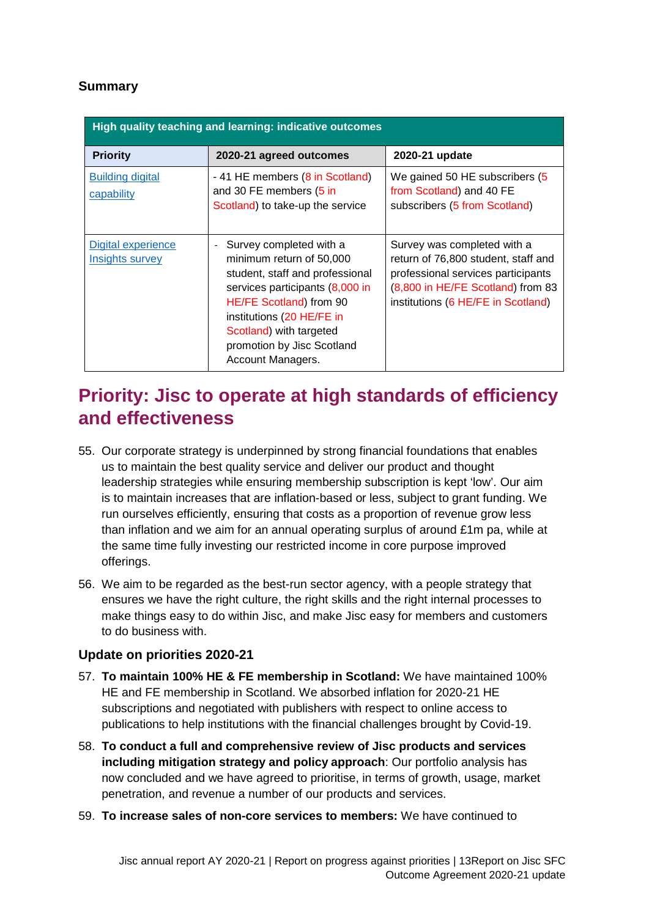## **Summary**

| High quality teaching and learning: indicative outcomes |                                                                                                                                                                                                                                                                 |                                                                                                                                                                                     |  |  |  |
|---------------------------------------------------------|-----------------------------------------------------------------------------------------------------------------------------------------------------------------------------------------------------------------------------------------------------------------|-------------------------------------------------------------------------------------------------------------------------------------------------------------------------------------|--|--|--|
| <b>Priority</b>                                         | 2020-21 agreed outcomes                                                                                                                                                                                                                                         | 2020-21 update                                                                                                                                                                      |  |  |  |
| <b>Building digital</b><br>capability                   | - 41 HE members (8 in Scotland)<br>and 30 FE members (5 in<br>Scotland) to take-up the service                                                                                                                                                                  | We gained 50 HE subscribers (5)<br>from Scotland) and 40 FE<br>subscribers (5 from Scotland)                                                                                        |  |  |  |
| Digital experience<br><b>Insights survey</b>            | Survey completed with a<br>minimum return of 50,000<br>student, staff and professional<br>services participants (8,000 in<br>HE/FE Scotland) from 90<br>institutions (20 HE/FE in<br>Scotland) with targeted<br>promotion by Jisc Scotland<br>Account Managers. | Survey was completed with a<br>return of 76,800 student, staff and<br>professional services participants<br>(8,800 in HE/FE Scotland) from 83<br>institutions (6 HE/FE in Scotland) |  |  |  |

## <span id="page-13-0"></span>**Priority: Jisc to operate at high standards of efficiency and effectiveness**

- 55. Our corporate strategy is underpinned by strong financial foundations that enables us to maintain the best quality service and deliver our product and thought leadership strategies while ensuring membership subscription is kept 'low'. Our aim is to maintain increases that are inflation-based or less, subject to grant funding. We run ourselves efficiently, ensuring that costs as a proportion of revenue grow less than inflation and we aim for an annual operating surplus of around £1m pa, while at the same time fully investing our restricted income in core purpose improved offerings.
- 56. We aim to be regarded as the best-run sector agency, with a people strategy that ensures we have the right culture, the right skills and the right internal processes to make things easy to do within Jisc, and make Jisc easy for members and customers to do business with.

### **Update on priorities 2020-21**

- 57. **To maintain 100% HE & FE membership in Scotland:** We have maintained 100% HE and FE membership in Scotland. We absorbed inflation for 2020-21 HE subscriptions and negotiated with publishers with respect to online access to publications to help institutions with the financial challenges brought by Covid-19.
- 58. **To conduct a full and comprehensive review of Jisc products and services including mitigation strategy and policy approach**: Our portfolio analysis has now concluded and we have agreed to prioritise, in terms of growth, usage, market penetration, and revenue a number of our products and services.
- 59. **To increase sales of non-core services to members:** We have continued to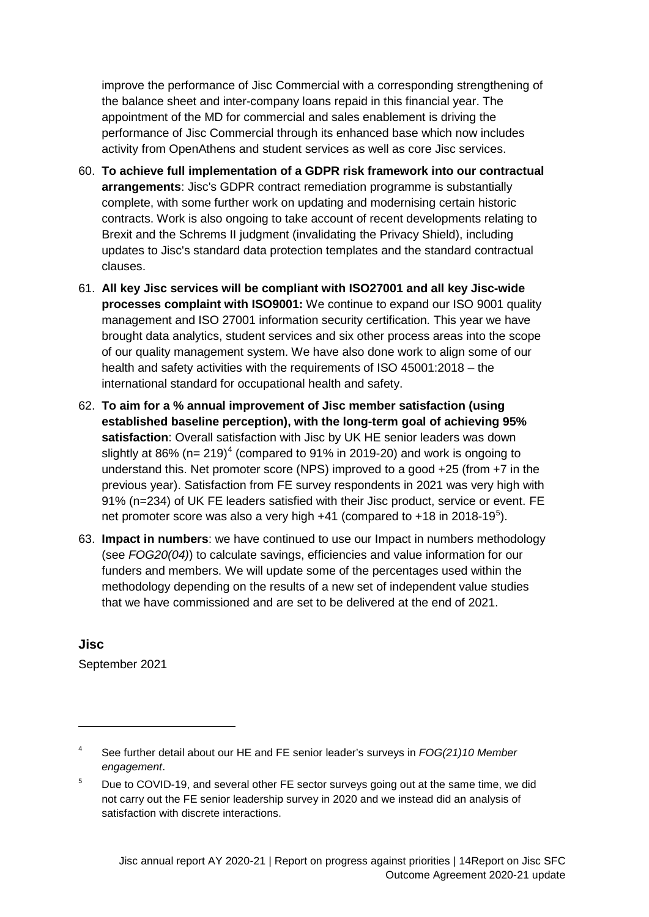improve the performance of Jisc Commercial with a corresponding strengthening of the balance sheet and inter-company loans repaid in this financial year. The appointment of the MD for commercial and sales enablement is driving the performance of Jisc Commercial through its enhanced base which now includes activity from OpenAthens and student services as well as core Jisc services.

- 60. **To achieve full implementation of a GDPR risk framework into our contractual arrangements**: Jisc's GDPR contract remediation programme is substantially complete, with some further work on updating and modernising certain historic contracts. Work is also ongoing to take account of recent developments relating to Brexit and the Schrems II judgment (invalidating the Privacy Shield), including updates to Jisc's standard data protection templates and the standard contractual clauses.
- 61. **All key Jisc services will be compliant with ISO27001 and all key Jisc-wide processes complaint with ISO9001:** We continue to expand our ISO 9001 quality management and ISO 27001 information security certification. This year we have brought data analytics, student services and six other process areas into the scope of our quality management system. We have also done work to align some of our health and safety activities with the requirements of ISO 45001:2018 – the international standard for occupational health and safety.
- 62. **To aim for a % annual improvement of Jisc member satisfaction (using established baseline perception), with the long-term goal of achieving 95% satisfaction**: Overall satisfaction with Jisc by UK HE senior leaders was down slightly at 86% (n= 219)<sup>[4](#page-5-1)</sup> (compared to 91% in 2019-20) and work is ongoing to understand this. Net promoter score (NPS) improved to a good +25 (from +7 in the previous year). Satisfaction from FE survey respondents in 2021 was very high with 91% (n=234) of UK FE leaders satisfied with their Jisc product, service or event. FE net promoter score was also a very high  $+41$  (compared to  $+18$  in 2018-19<sup>[5](#page-14-0)</sup>).
- 63. **Impact in numbers**: we have continued to use our Impact in numbers methodology (see *FOG20(04)*) to calculate savings, efficiencies and value information for our funders and members. We will update some of the percentages used within the methodology depending on the results of a new set of independent value studies that we have commissioned and are set to be delivered at the end of 2021.

**Jisc** September 2021

<span id="page-14-1"></span>-

<sup>4</sup> See further detail about our HE and FE senior leader's surveys in *FOG(21)10 Member engagement*.

<span id="page-14-0"></span><sup>&</sup>lt;sup>5</sup> Due to COVID-19, and several other FE sector surveys going out at the same time, we did not carry out the FE senior leadership survey in 2020 and we instead did an analysis of satisfaction with discrete interactions.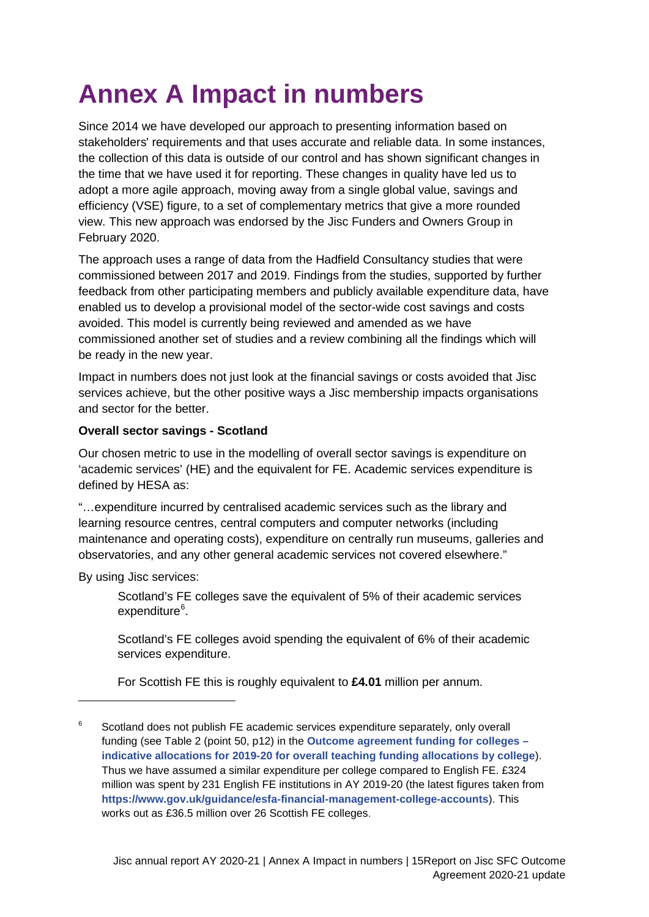# <span id="page-15-0"></span>**Annex A Impact in numbers**

Since 2014 we have developed our approach to presenting information based on stakeholders' requirements and that uses accurate and reliable data. In some instances, the collection of this data is outside of our control and has shown significant changes in the time that we have used it for reporting. These changes in quality have led us to adopt a more agile approach, moving away from a single global value, savings and efficiency (VSE) figure, to a set of complementary metrics that give a more rounded view. This new approach was endorsed by the Jisc Funders and Owners Group in February 2020.

The approach uses a range of data from the Hadfield Consultancy studies that were commissioned between 2017 and 2019. Findings from the studies, supported by further feedback from other participating members and publicly available expenditure data, have enabled us to develop a provisional model of the sector-wide cost savings and costs avoided. This model is currently being reviewed and amended as we have commissioned another set of studies and a review combining all the findings which will be ready in the new year.

Impact in numbers does not just look at the financial savings or costs avoided that Jisc services achieve, but the other positive ways a Jisc membership impacts organisations and sector for the better.

### **Overall sector savings - Scotland**

Our chosen metric to use in the modelling of overall sector savings is expenditure on 'academic services' (HE) and the equivalent for FE. Academic services expenditure is defined by HESA as:

"…expenditure incurred by centralised academic services such as the library and learning resource centres, central computers and computer networks (including maintenance and operating costs), expenditure on centrally run museums, galleries and observatories, and any other general academic services not covered elsewhere."

By using Jisc services:

-

Scotland's FE colleges save the equivalent of 5% of their academic services expenditure<sup>[6](#page-14-1)</sup>.

Scotland's FE colleges avoid spending the equivalent of 6% of their academic services expenditure.

For Scottish FE this is roughly equivalent to **£4.01** million per annum.

<span id="page-15-1"></span> $6$  Scotland does not publish FE academic services expenditure separately, only overall funding (see Table 2 (point 50, p12) in the **[Outcome agreement funding for colleges –](http://www.sfc.ac.uk/web/FILES/announcements_sfcan052019/Indicative_college_funding_allocations_2019-20.pdf) [indicative allocations for 2019-20 for overall teaching funding allocations by college](http://www.sfc.ac.uk/web/FILES/announcements_sfcan052019/Indicative_college_funding_allocations_2019-20.pdf)**). Thus we have assumed a similar expenditure per college compared to English FE. £324 million was spent by 231 English FE institutions in AY 2019-20 (the latest figures taken from **<https://www.gov.uk/guidance/esfa-financial-management-college-accounts>**). This works out as £36.5 million over 26 Scottish FE colleges.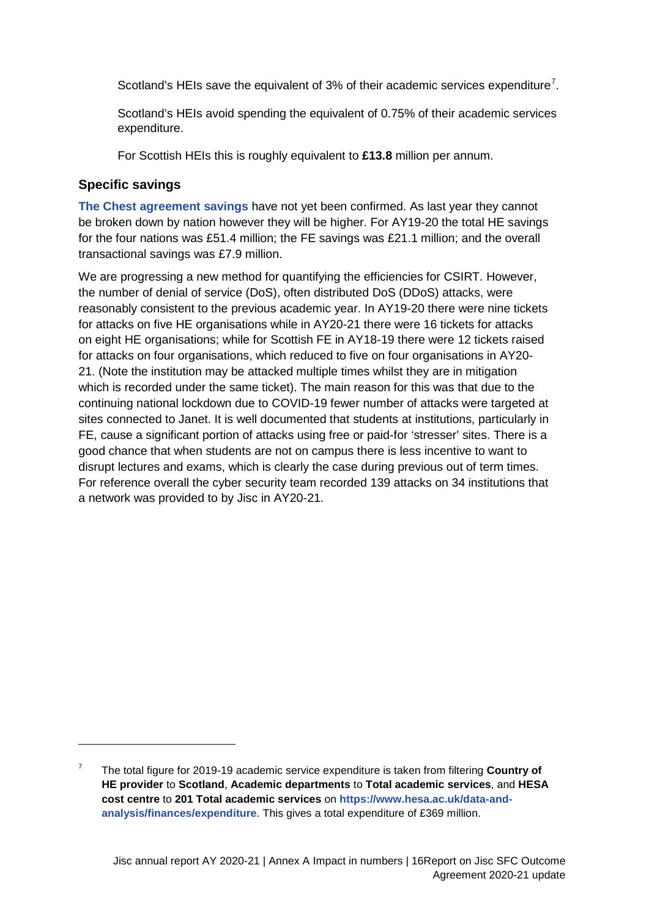Scotland's HEIs save the equivalent of  $3%$  of their academic services expenditure<sup>[7](#page-15-1)</sup>.

Scotland's HEIs avoid spending the equivalent of 0.75% of their academic services expenditure.

For Scottish HEIs this is roughly equivalent to **£13.8** million per annum.

### **Specific savings**

-

**[The Chest agreement savings](https://www.chest.ac.uk/about-us)** have not yet been confirmed. As last year they cannot be broken down by nation however they will be higher. For AY19-20 the total HE savings for the four nations was £51.4 million; the FE savings was £21.1 million; and the overall transactional savings was £7.9 million.

We are progressing a new method for quantifying the efficiencies for CSIRT. However, the number of denial of service (DoS), often distributed DoS (DDoS) attacks, were reasonably consistent to the previous academic year. In AY19-20 there were nine tickets for attacks on five HE organisations while in AY20-21 there were 16 tickets for attacks on eight HE organisations; while for Scottish FE in AY18-19 there were 12 tickets raised for attacks on four organisations, which reduced to five on four organisations in AY20- 21. (Note the institution may be attacked multiple times whilst they are in mitigation which is recorded under the same ticket). The main reason for this was that due to the continuing national lockdown due to COVID-19 fewer number of attacks were targeted at sites connected to Janet. It is well documented that students at institutions, particularly in FE, cause a significant portion of attacks using free or paid-for 'stresser' sites. There is a good chance that when students are not on campus there is less incentive to want to disrupt lectures and exams, which is clearly the case during previous out of term times. For reference overall the cyber security team recorded 139 attacks on 34 institutions that a network was provided to by Jisc in AY20-21.

<span id="page-16-0"></span><sup>7</sup> The total figure for 2019-19 academic service expenditure is taken from filtering **Country of HE provider** to **Scotland**, **Academic departments** to **Total academic services**, and **HESA cost centre** to **201 Total academic services** on **[https://www.hesa.ac.uk/data-and](https://www.hesa.ac.uk/data-and-analysis/finances/expenditure)[analysis/finances/expenditure](https://www.hesa.ac.uk/data-and-analysis/finances/expenditure)**. This gives a total expenditure of £369 million.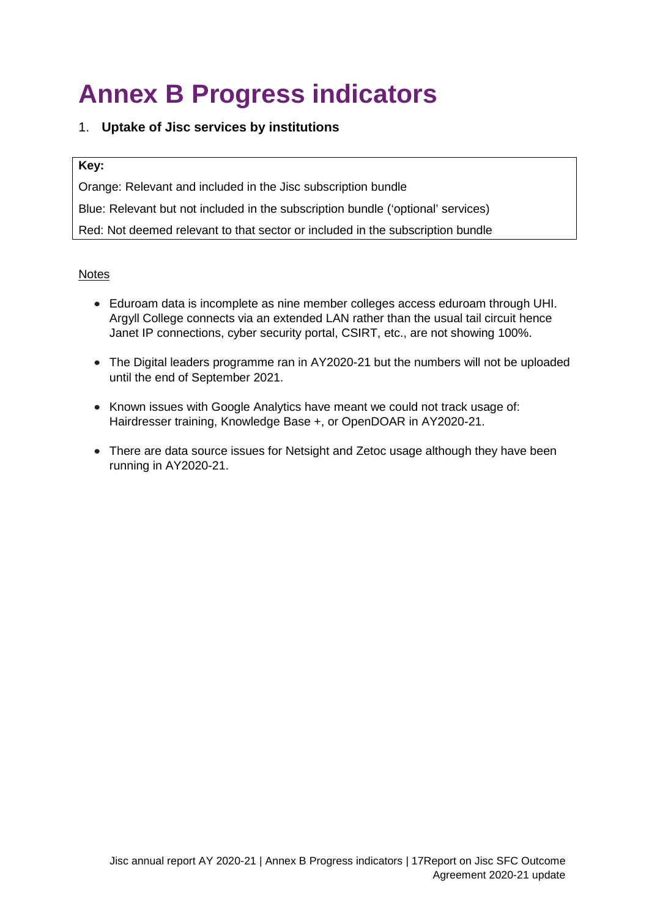# <span id="page-17-0"></span>**Annex B Progress indicators**

### 1. **Uptake of Jisc services by institutions**

#### **Key:**

Orange: Relevant and included in the Jisc subscription bundle

Blue: Relevant but not included in the subscription bundle ('optional' services)

Red: Not deemed relevant to that sector or included in the subscription bundle

### **Notes**

- Eduroam data is incomplete as nine member colleges access eduroam through UHI. Argyll College connects via an extended LAN rather than the usual tail circuit hence Janet IP connections, cyber security portal, CSIRT, etc., are not showing 100%.
- The Digital leaders programme ran in AY2020-21 but the numbers will not be uploaded until the end of September 2021.
- Known issues with Google Analytics have meant we could not track usage of: Hairdresser training, Knowledge Base +, or OpenDOAR in AY2020-21.
- There are data source issues for Netsight and Zetoc usage although they have been running in AY2020-21.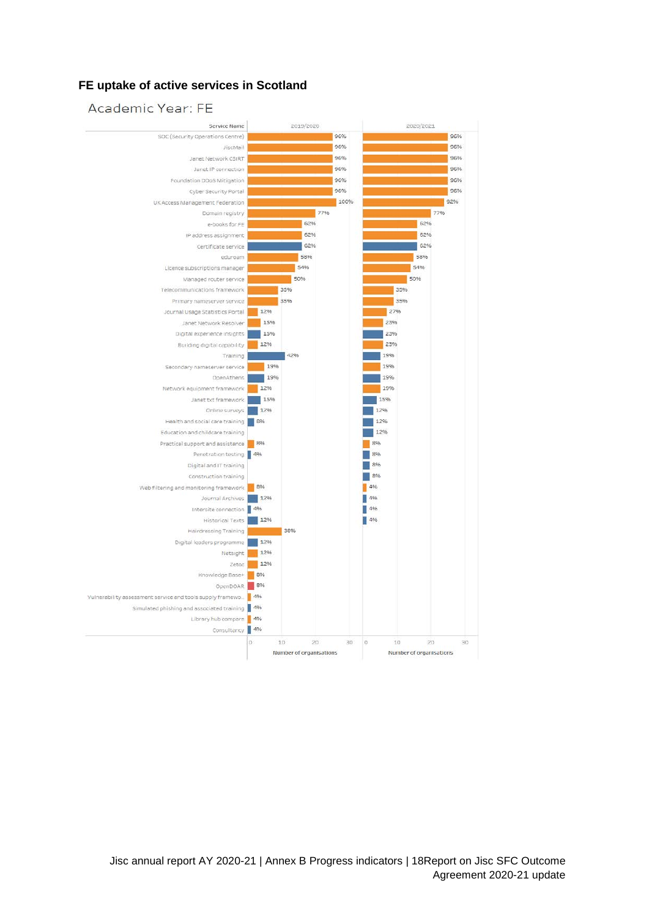#### **FE uptake of active services in Scotland**

#### Academic Year: FE

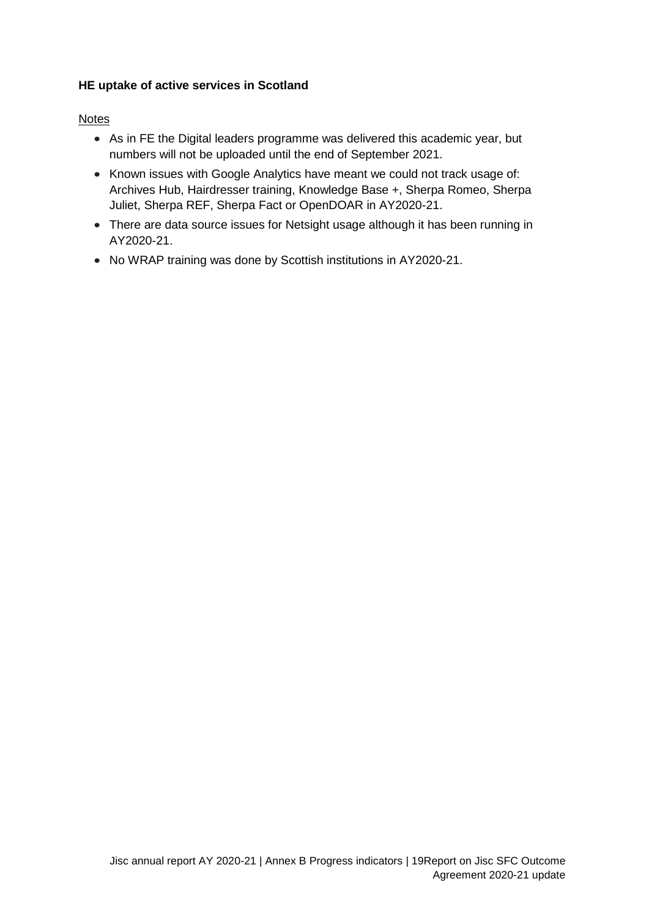### **HE uptake of active services in Scotland**

#### **Notes**

- As in FE the Digital leaders programme was delivered this academic year, but numbers will not be uploaded until the end of September 2021.
- Known issues with Google Analytics have meant we could not track usage of: Archives Hub, Hairdresser training, Knowledge Base +, Sherpa Romeo, Sherpa Juliet, Sherpa REF, Sherpa Fact or OpenDOAR in AY2020-21.
- There are data source issues for Netsight usage although it has been running in AY2020-21.
- No WRAP training was done by Scottish institutions in AY2020-21.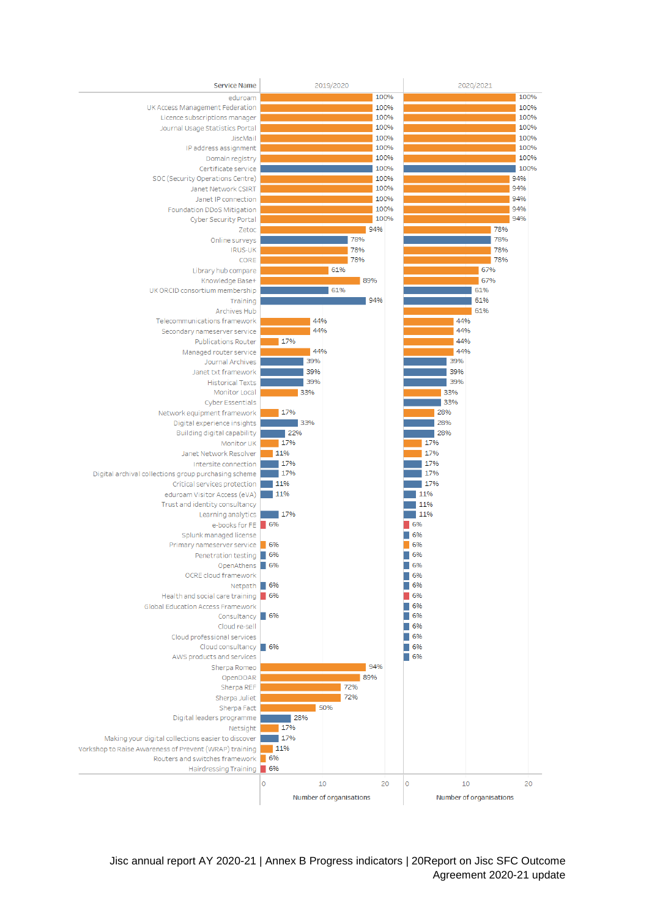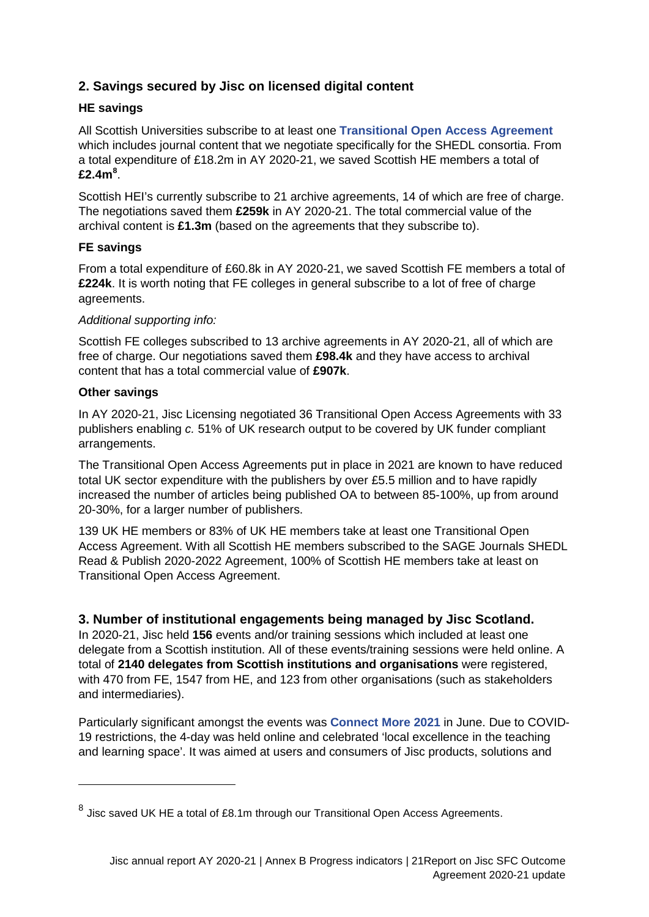## **2. Savings secured by Jisc on licensed digital content**

### **HE savings**

All Scottish Universities subscribe to at least one **[Transitional Open Access Agreement](https://www.jisc.ac.uk/content/open-access/our-role)** which includes journal content that we negotiate specifically for the SHEDL consortia. From a total expenditure of £18.2m in AY 2020-21, we saved Scottish HE members a total of **£2.4m[8](#page-16-0)** .

Scottish HEI's currently subscribe to 21 archive agreements, 14 of which are free of charge. The negotiations saved them **£259k** in AY 2020-21. The total commercial value of the archival content is **£1.3m** (based on the agreements that they subscribe to).

### **FE savings**

From a total expenditure of £60.8k in AY 2020-21, we saved Scottish FE members a total of **£224k**. It is worth noting that FE colleges in general subscribe to a lot of free of charge agreements.

### *Additional supporting info:*

Scottish FE colleges subscribed to 13 archive agreements in AY 2020-21, all of which are free of charge. Our negotiations saved them **£98.4k** and they have access to archival content that has a total commercial value of **£907k**.

### **Other savings**

-

In AY 2020-21, Jisc Licensing negotiated 36 Transitional Open Access Agreements with 33 publishers enabling *c.* 51% of UK research output to be covered by UK funder compliant arrangements.

The Transitional Open Access Agreements put in place in 2021 are known to have reduced total UK sector expenditure with the publishers by over £5.5 million and to have rapidly increased the number of articles being published OA to between 85-100%, up from around 20-30%, for a larger number of publishers.

139 UK HE members or 83% of UK HE members take at least one Transitional Open Access Agreement. With all Scottish HE members subscribed to the SAGE Journals SHEDL Read & Publish 2020-2022 Agreement, 100% of Scottish HE members take at least on Transitional Open Access Agreement.

### **3. Number of institutional engagements being managed by Jisc Scotland.**

In 2020-21, Jisc held **156** events and/or training sessions which included at least one delegate from a Scottish institution. All of these events/training sessions were held online. A total of **2140 delegates from Scottish institutions and organisations** were registered, with 470 from FE, 1547 from HE, and 123 from other organisations (such as stakeholders and intermediaries).

Particularly significant amongst the events was **[Connect More 2021](https://www.jisc.ac.uk/connect-more)** in June. Due to COVID-19 restrictions, the 4-day was held online and celebrated 'local excellence in the teaching and learning space'. It was aimed at users and consumers of Jisc products, solutions and

 $8$  Jisc saved UK HE a total of £8.1m through our Transitional Open Access Agreements.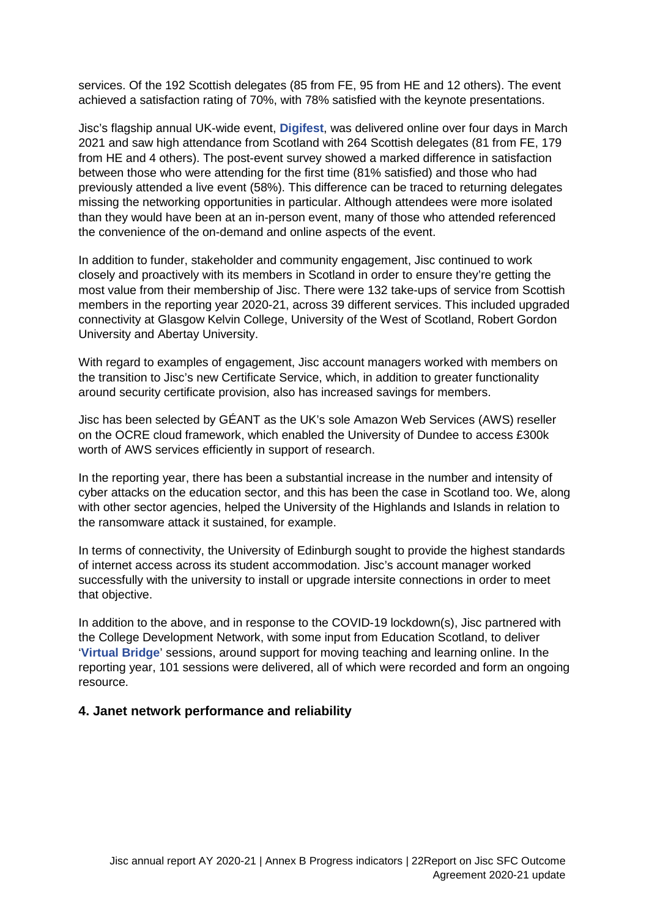services. Of the 192 Scottish delegates (85 from FE, 95 from HE and 12 others). The event achieved a satisfaction rating of 70%, with 78% satisfied with the keynote presentations.

Jisc's flagship annual UK-wide event, **[Digifest](https://www.jisc.ac.uk/digifest)**, was delivered online over four days in March 2021 and saw high attendance from Scotland with 264 Scottish delegates (81 from FE, 179 from HE and 4 others). The post-event survey showed a marked difference in satisfaction between those who were attending for the first time (81% satisfied) and those who had previously attended a live event (58%). This difference can be traced to returning delegates missing the networking opportunities in particular. Although attendees were more isolated than they would have been at an in-person event, many of those who attended referenced the convenience of the on-demand and online aspects of the event.

In addition to funder, stakeholder and community engagement, Jisc continued to work closely and proactively with its members in Scotland in order to ensure they're getting the most value from their membership of Jisc. There were 132 take-ups of service from Scottish members in the reporting year 2020-21, across 39 different services. This included upgraded connectivity at Glasgow Kelvin College, University of the West of Scotland, Robert Gordon University and Abertay University.

With regard to examples of engagement, Jisc account managers worked with members on the transition to Jisc's new Certificate Service, which, in addition to greater functionality around security certificate provision, also has increased savings for members.

Jisc has been selected by GÉANT as the UK's sole Amazon Web Services (AWS) reseller on the OCRE cloud framework, which enabled the University of Dundee to access £300k worth of AWS services efficiently in support of research.

In the reporting year, there has been a substantial increase in the number and intensity of cyber attacks on the education sector, and this has been the case in Scotland too. We, along with other sector agencies, helped the University of the Highlands and Islands in relation to the ransomware attack it sustained, for example.

In terms of connectivity, the University of Edinburgh sought to provide the highest standards of internet access across its student accommodation. Jisc's account manager worked successfully with the university to install or upgrade intersite connections in order to meet that objective.

In addition to the above, and in response to the COVID-19 lockdown(s), Jisc partnered with the College Development Network, with some input from Education Scotland, to deliver '**[Virtual Bridge](https://www.cdn.ac.uk/blog/virtual-bridge-webinars/)**' sessions, around support for moving teaching and learning online. In the reporting year, 101 sessions were delivered, all of which were recorded and form an ongoing resource.

#### **4. Janet network performance and reliability**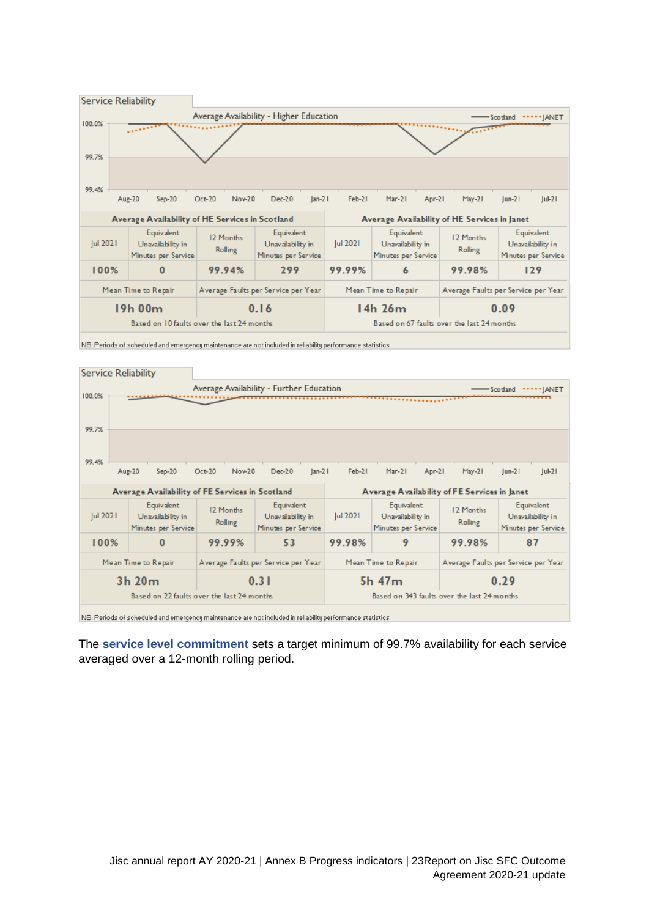

NB: Periods of scheduled and emergency maintenance are not included in reliability performance statistics

| <b>Service Reliability</b> |                                                                                           |                      |                                                        |                     |                                                        |                                     |                                                        |
|----------------------------|-------------------------------------------------------------------------------------------|----------------------|--------------------------------------------------------|---------------------|--------------------------------------------------------|-------------------------------------|--------------------------------------------------------|
|                            |                                                                                           |                      | Average Availability - Further Education               |                     |                                                        |                                     | *IANET<br>Scotland                                     |
| 100.0%                     |                                                                                           |                      |                                                        |                     |                                                        |                                     |                                                        |
|                            |                                                                                           |                      |                                                        |                     |                                                        |                                     |                                                        |
| 99.7%                      |                                                                                           |                      |                                                        |                     |                                                        |                                     |                                                        |
|                            |                                                                                           |                      |                                                        |                     |                                                        |                                     |                                                        |
| 99.4%                      |                                                                                           |                      |                                                        |                     |                                                        |                                     |                                                        |
|                            | Aug-20<br>$Sep-20$                                                                        | Nov-20<br>Oct-20     | $Dec-20$<br>$lan-21$                                   | Feb-21              | $Mar-21$<br>Apr-21                                     | $May-21$                            | $ u -2 $<br>$ um-2 $                                   |
|                            |                                                                                           |                      |                                                        |                     |                                                        |                                     |                                                        |
|                            | Average Availability of FE Services in Scotland                                           |                      |                                                        |                     | Average Availability of FE Services in Janet           |                                     |                                                        |
| Jul 2021                   | Equivalent<br>Unavailability in<br>Minutes per Service                                    | 12 Months<br>Rolling | Equivalent<br>Unavailability in<br>Minutes per Service | Jul 2021            | Equivalent<br>Unavailability in<br>Minutes per Service | 12 Months<br>Rolling                | Equivalent<br>Unavailability in<br>Minutes per Service |
| 100%                       | $\bf{0}$                                                                                  | 99.99%               | 53                                                     | 99.98%              | 9                                                      | 99.98%                              | 87                                                     |
|                            | Mean Time to Repair<br>Average Faults per Service per Year                                |                      |                                                        | Mean Time to Repair |                                                        | Average Faults per Service per Year |                                                        |
|                            | 3h 20m                                                                                    |                      | 0.31                                                   | 0.29<br>5h 47m      |                                                        |                                     |                                                        |
|                            | Based on 22 faults over the last 24 months<br>Based on 343 faults over the last 24 months |                      |                                                        |                     |                                                        |                                     |                                                        |
|                            |                                                                                           |                      |                                                        |                     |                                                        |                                     |                                                        |

NB: Periods of scheduled and emergency maintenance are not included in reliability performance statistics

The **[service level commitment](https://repository.jisc.ac.uk/7326/1/janet-backbone-and-janet-ip-connections-availability-and-service-level-commitments.pdf)** sets a target minimum of 99.7% availability for each service averaged over a 12-month rolling period.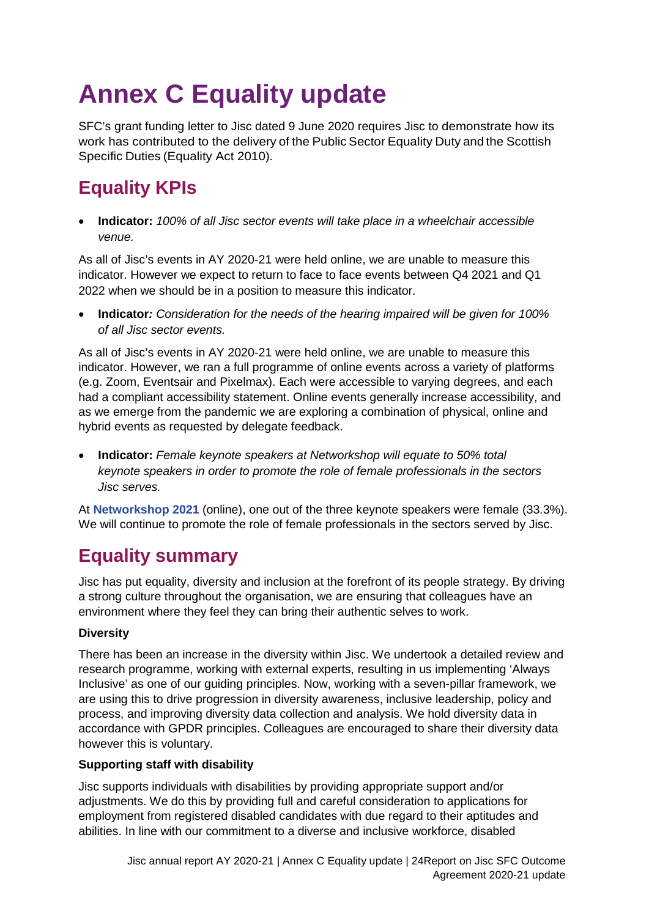# <span id="page-24-0"></span>**Annex C Equality update**

SFC's grant funding letter to Jisc dated 9 June 2020 requires Jisc to demonstrate how its work has contributed to the delivery of the Public Sector Equality Duty and the Scottish Specific Duties (Equality Act 2010).

# <span id="page-24-1"></span>**Equality KPIs**

• **Indicator:** *100% of all Jisc sector events will take place in a wheelchair accessible venue.*

As all of Jisc's events in AY 2020-21 were held online, we are unable to measure this indicator. However we expect to return to face to face events between Q4 2021 and Q1 2022 when we should be in a position to measure this indicator.

• **Indicator***: Consideration for the needs of the hearing impaired will be given for 100% of all Jisc sector events.*

As all of Jisc's events in AY 2020-21 were held online, we are unable to measure this indicator. However, we ran a full programme of online events across a variety of platforms (e.g. Zoom, Eventsair and Pixelmax). Each were accessible to varying degrees, and each had a compliant accessibility statement. Online events generally increase accessibility, and as we emerge from the pandemic we are exploring a combination of physical, online and hybrid events as requested by delegate feedback.

• **Indicator:** *Female keynote speakers at Networkshop will equate to 50% total keynote speakers in order to promote the role of female professionals in the sectors Jisc serves.*

At **[Networkshop 2021](https://www.jisc.ac.uk/networkshop)** (online), one out of the three keynote speakers were female (33.3%). We will continue to promote the role of female professionals in the sectors served by Jisc.

## <span id="page-24-2"></span>**Equality summary**

Jisc has put equality, diversity and inclusion at the forefront of its people strategy. By driving a strong culture throughout the organisation, we are ensuring that colleagues have an environment where they feel they can bring their authentic selves to work.

### **Diversity**

There has been an increase in the diversity within Jisc. We undertook a detailed review and research programme, working with external experts, resulting in us implementing 'Always Inclusive' as one of our guiding principles. Now, working with a seven-pillar framework, we are using this to drive progression in diversity awareness, inclusive leadership, policy and process, and improving diversity data collection and analysis. We hold diversity data in accordance with GPDR principles. Colleagues are encouraged to share their diversity data however this is voluntary.

### **Supporting staff with disability**

Jisc supports individuals with disabilities by providing appropriate support and/or adjustments. We do this by providing full and careful consideration to applications for employment from registered disabled candidates with due regard to their aptitudes and abilities. In line with our commitment to a diverse and inclusive workforce, disabled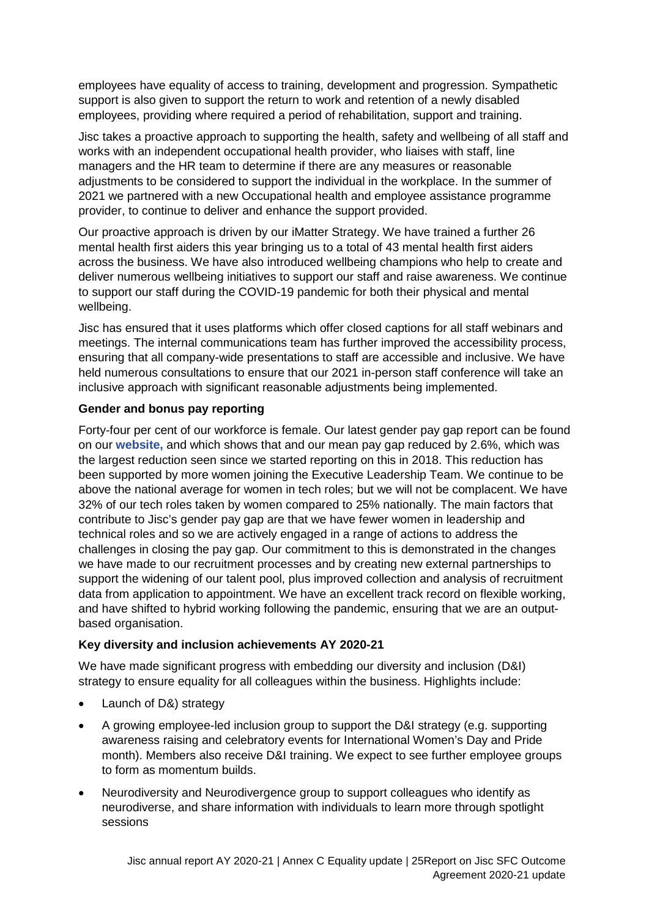employees have equality of access to training, development and progression. Sympathetic support is also given to support the return to work and retention of a newly disabled employees, providing where required a period of rehabilitation, support and training.

Jisc takes a proactive approach to supporting the health, safety and wellbeing of all staff and works with an independent occupational health provider, who liaises with staff, line managers and the HR team to determine if there are any measures or reasonable adjustments to be considered to support the individual in the workplace. In the summer of 2021 we partnered with a new Occupational health and employee assistance programme provider, to continue to deliver and enhance the support provided.

Our proactive approach is driven by our iMatter Strategy. We have trained a further 26 mental health first aiders this year bringing us to a total of 43 mental health first aiders across the business. We have also introduced wellbeing champions who help to create and deliver numerous wellbeing initiatives to support our staff and raise awareness. We continue to support our staff during the COVID-19 pandemic for both their physical and mental wellbeing.

Jisc has ensured that it uses platforms which offer closed captions for all staff webinars and meetings. The internal communications team has further improved the accessibility process, ensuring that all company-wide presentations to staff are accessible and inclusive. We have held numerous consultations to ensure that our 2021 in-person staff conference will take an inclusive approach with significant reasonable adjustments being implemented.

### **Gender and bonus pay reporting**

Forty-four per cent of our workforce is female. Our latest gender pay gap report can be found on our **[website,](https://www.jisc.ac.uk/about/corporate/gender-and-bonus-pay-report)** and which shows that and our mean pay gap reduced by 2.6%, which was the largest reduction seen since we started reporting on this in 2018. This reduction has been supported by more women joining the Executive Leadership Team. We continue to be above the national average for women in tech roles; but we will not be complacent. We have 32% of our tech roles taken by women compared to 25% nationally. The main factors that contribute to Jisc's gender pay gap are that we have fewer women in leadership and technical roles and so we are actively engaged in a range of actions to address the challenges in closing the pay gap. Our commitment to this is demonstrated in the changes we have made to our recruitment processes and by creating new external partnerships to support the widening of our talent pool, plus improved collection and analysis of recruitment data from application to appointment. We have an excellent track record on flexible working, and have shifted to hybrid working following the pandemic, ensuring that we are an outputbased organisation.

### **Key diversity and inclusion achievements AY 2020-21**

We have made significant progress with embedding our diversity and inclusion (D&I) strategy to ensure equality for all colleagues within the business. Highlights include:

- Launch of D&) strategy
- A growing employee-led inclusion group to support the D&I strategy (e.g. supporting awareness raising and celebratory events for International Women's Day and Pride month). Members also receive D&I training. We expect to see further employee groups to form as momentum builds.
- Neurodiversity and Neurodivergence group to support colleagues who identify as neurodiverse, and share information with individuals to learn more through spotlight sessions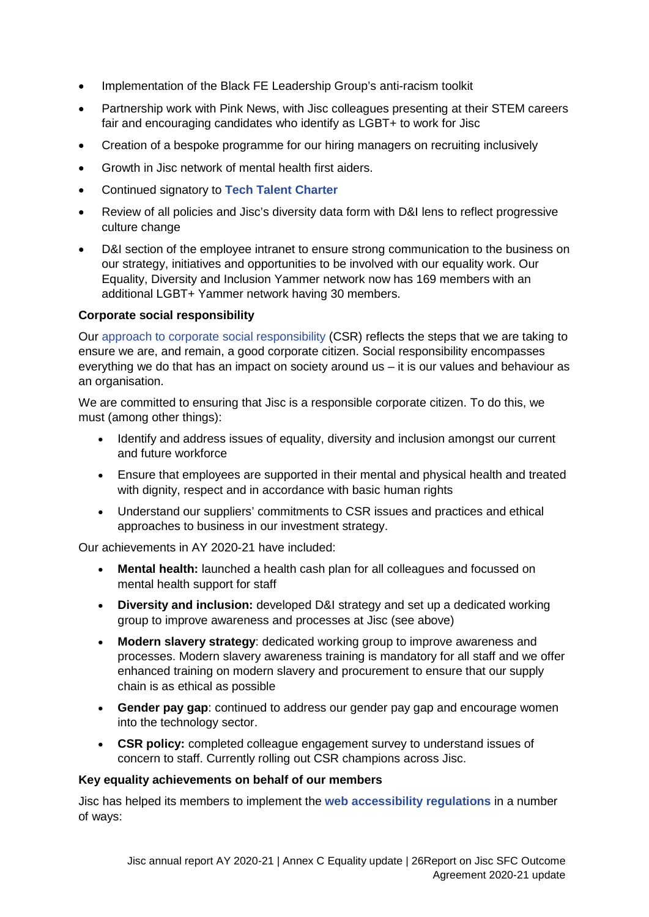- Implementation of the Black FE Leadership Group's anti-racism toolkit
- Partnership work with Pink News, with Jisc colleagues presenting at their STEM careers fair and encouraging candidates who identify as LGBT+ to work for Jisc
- Creation of a bespoke programme for our hiring managers on recruiting inclusively
- Growth in Jisc network of mental health first aiders.
- Continued signatory to **[Tech Talent Charter](https://www.techtalentcharter.co.uk/home)**
- Review of all policies and Jisc's diversity data form with D&I lens to reflect progressive culture change
- D&I section of the employee intranet to ensure strong communication to the business on our strategy, initiatives and opportunities to be involved with our equality work. Our Equality, Diversity and Inclusion Yammer network now has 169 members with an additional LGBT+ Yammer network having 30 members.

#### **Corporate social responsibility**

Our [approach to corporate social responsibility](https://www.jisc.ac.uk/about/corporate/corporate-social-responsibility) (CSR) reflects the steps that we are taking to ensure we are, and remain, a good corporate citizen. Social responsibility encompasses everything we do that has an impact on society around us – it is our values and behaviour as an organisation.

We are committed to ensuring that Jisc is a responsible corporate citizen. To do this, we must (among other things):

- Identify and address issues of equality, diversity and inclusion amongst our current and future workforce
- Ensure that employees are supported in their mental and physical health and treated with dignity, respect and in accordance with basic human rights
- Understand our suppliers' commitments to CSR issues and practices and ethical approaches to business in our investment strategy.

Our achievements in AY 2020-21 have included:

- **Mental health:** launched a health cash plan for all colleagues and focussed on mental health support for staff
- **Diversity and inclusion:** developed D&I strategy and set up a dedicated working group to improve awareness and processes at Jisc (see above)
- **Modern slavery strategy**: dedicated working group to improve awareness and processes. Modern slavery awareness training is mandatory for all staff and we offer enhanced training on modern slavery and procurement to ensure that our supply chain is as ethical as possible
- **Gender pay gap**: continued to address our gender pay gap and encourage women into the technology sector.
- **CSR policy:** completed colleague engagement survey to understand issues of concern to staff. Currently rolling out CSR champions across Jisc.

#### **Key equality achievements on behalf of our members**

Jisc has helped its members to implement the **[web accessibility regulations](https://www.jisc.ac.uk/accessibility)** in a number of ways: